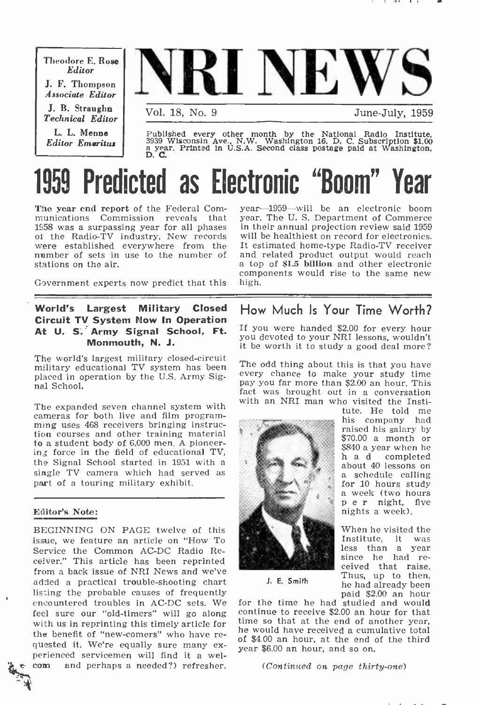Theodore E. Rose Editor J. F. Thompson Associate Editor

J. B. Straughn Technical Editor L. L. Menne Editor Emeritus



Published every other month by the National Radio Institute, 3939 Wisconsin Ave., N.W. Washington 16, D. C. Subscription \$1.00 a year. Printed in U.S.A. Second class postage paid at Washington, D. C.

# **Predicted as Electronic "Boom"**

The year end report of the Federal Com-<br>munications Commission reveals that munications Commission reveals 1958 was a surpassing year for all phases of the Radio-TV industry. New records were established everywhere from the number of sets in use to the number of and related product output would reach<br>stations on the air. <br>a top of \$1.5 billion and other electronic stations on the air.

Government experts now predict that this

# World's Largest Military Closed Circuit TV System Now In Operation At U. S. Army Signal School, Ft. Monmouth, N. J.

The world's largest military closed-circuit military educational TV system has been placed in operation by the U.S. Army Signal School.

The expanded seven channel system with cameras for both live and film program-<br>ming uses 468 receivers bringing instruction courses and other training material to a student body of 6,000 men. A pioneer- ing force in the field of educational TV, the Signal School started in 1951 with a single TV camera which had served as part of a touring military exhibit.

# Editor's Note:

BEGINNING ON PAGE twelve of this issue, we feature an article on "How To Service the Common AC-DC Radio Receiver." This article has been reprinted from a back issue of NRI News and we've added a practical trouble -shooting chart listing the probable causes of frequently encountered troubles in AC -DC sets. We feel sure our "old-timers" will go along with us in reprinting this timely article for<br>the so that at the end of another year,<br>the benefit of "new-comers" who have requested it. We're equally sure many ex-<br>perienced servicemen will find it a wel-<br>come and perhaps a needed?) refresher.

year-1959-will be an electronic boom year. The U. S. Department of Commerce in their annual projection review said 1959 will be healthiest on record for electronics. It estimated home-type Radio-TV receiver and related product output would reach components would rise to the same new

# How Much Is Your Time Worth?

If you were handed \$2.00 for every hour you devoted to your NRI lessons, wouldn't it be worth it to study a good deal more?

The odd thing about this is that you have every chance to make your study time pay you far more than \$2.00 an hour. This fact was brought out in a conversation with an NRI man who visited the Insti-<br>tute. He told me



ha d completed about 40 lessons on<br>a schedule calling<br>for 10 hours study<br>a week (two hours p e r night, five nights a week). When he visited the<br>Institute. it was Iess than a year<br>since he had re-<br>ceived that raise.

Thus, up to then, he had already been

his company had raised his salary by \$70.00 a month or \$840 a year when he<br>h a d completed

J. E. Smith

paid \$2.00 an hour for the time he had studied and would continue to receive \$2.00 an hour for that time so that at the end of another year, of \$4.00 an hour, at the end of the third year \$6.00 an hour, and so on.

(Continued on page thirty-one)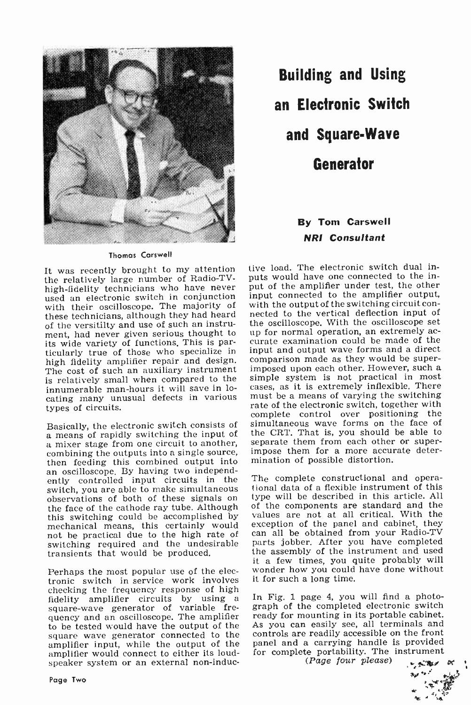

Thomas Carswell

It was recently brought to my attention the relatively large number of Radio-TVhigh -fidelity technicians who have never used an electronic switch in conjunction with their oscilloscope. The majority of with the output of the switching circuit con-<br>these technicians, although they had heard nected to the vertical deflection input of these technicians, although they had heard of the versitilty and use of such an instrument, had never given serious thought to up for normal operation, an extremely actional metallic metallic metallic metallic metallic metallic metallic metallic metallic metallic metallic metallic metallic metallic metallic its wide variety of functions. This is particularly true of those who specialize in high fidelity amplifier repair and design. comparison made as they would be super-<br>The cost of such an auxiliary instrument imposed upon each other. However, such a The cost of such an auxiliary instrument is relatively small when compared to the innumerable man-hours it will save in locating many unusual defects in various types of circuits.

Basically, the electronic switch consists of a means of rapidly switching the input of a mixer stage from one circuit to another, combining the outputs into a single source, then feeding this combined output into an oscilloscope. By having two independently controlled input circuits in the The complete constructional and operaswitch, you are able to make simultaneous the face of the cathode ray tube. Although this switching could be accomplished by mechanical means, this certainly would exception of the panel and cabinet, they not be practical due to the high rate of can all be obtained from your Radio-TV not be practical due to the high rate of can all be obtained from your Radio-TV switching required and the undesirable parts jobber. After you have completed switching required and the undesirable transients that would be produced.

Perhaps the most popular use of the electronic switch in service work involves checking the frequency response of high<br>fidelity amplifier circuits by using a In Fig. 1 page 4, you will find a photofidelity amplifier circuits by using a In<br>square-wave generator of variable fre-grand-<br>quency and an oscilloscope. The amplifier to be tested would have the output of the square wave generator connected to the amplifier input, while the output of the amplifier would connect to either its loudspeaker system or an external non-induc-

Building and Using an Electronic Switch and Square.Wave Generator

# **By Tom Carswell** NRI Consultant

tive load. The electronic switch dual inputs would have one connected to the input of the amplifier under test, the other input connected to the amplifier output, with the output of the switching circuit conthe oscilloscope. With the oscilloscope set up for normal operation, an extremely acinput and output wave forms and a direct comparison made as they would be superimposed upon each other. However, such a simple system is not practical in most cases, as it is extremely inflexible. There must be a means of varying the switching rate of the electronic switch, together with complete control over positioning the simultaneous wave forms on the face of the CRT. That is, you should be able to separate them from each other or superimpose them for a more accurate determination of possible distortion.

tional data of a flexible instrument of this type will be described in this article. All of the components are standard and the values are not at all critical. With the exception of the panel and cabinet, they the assembly of the instrument and used it a few times, you quite probably will wonder how you could have done without it for such a long time.

graph of the completed electronic switch ready for mounting in its portable cabinet. As you can easily see, all terminals and controls are readily accessible on the front panel and a carrying handle is provided for complete portability. The instrument

 $(Page four please)$ 

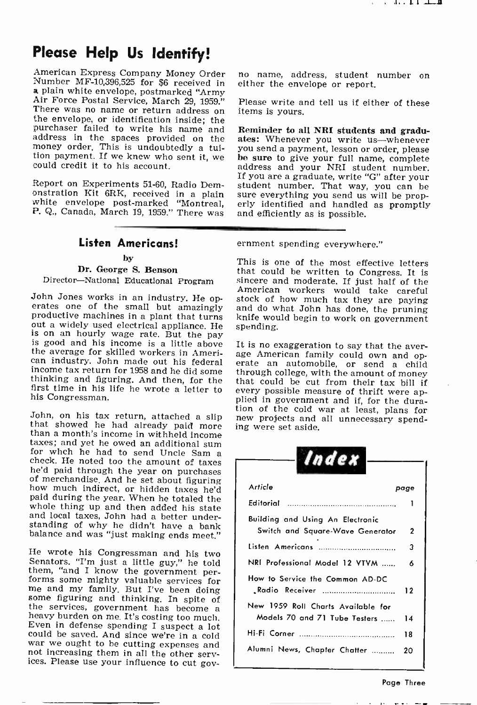# Please Help Us Identify!

American Express Company Money Order no name, address, student number on Number MF-10,396,525 for \$6 received in either the envelope or report.<br> **a** plain white envelope, postmarked "Army Air Force Postal Service, March 29 money order. This is undoubtedly a tuition payment. If we knew who sent it, we could credit it to his account.

Report on Experiments 51-60, Radio Dem-

# Listen Americans!

### by

# Dr. George S. Benson

John Jones works in an industry. He op-<br>erates one of the small but amazingly and do what John has done, the pruning<br>productive machines in a plant that turns knife would begin to work on government<br>out a widely used elect out a widely used electrical appliance. He is on an hourly wage rate. But the pay<br>is good and his income is a little above It is no exaggeration to say that the averthe average for skilled workers in Ameri-<br>can industry. John made out his federal erate an automobile, or send a child<br>income tax return for 1958 and he did some through college with the amount of money income tax return for 1958 and he did some through college, with the amount of money<br>thinking and figuring. And then, for the that could be cut from their tax bill if<br>first time in his life he wrote a letter to every possi his Congressman.

John, on his tax return, attached a slip that showed he had already paid more ing were set aside.<br>
than a month's income in withheld income<br>
taxes; and yet he owed an additional sum for whch he had to send Uncle Sam a<br>check. He noted too the amount of taxes<br>he'd paid through the year on purchases of merchandise. And he set about figuring<br>how much indirect, or hidden taxes he'd<br>paid during the year. When he totaled the<br>whole thing up and then added his state<br>and local taxes, John had a better under-<br>standing of why

He wrote his Congressman and his two<br>Senators. "I'm just a little guy," he told<br>them, "and I know the government per-<br>forms some mighty valuable services for<br>me and my family. But I've been doing<br>some figuring and thinkin could be saved. And since we're in a cold war we ought to be cutting expenses and not increasing them in all the other services. Please use your influence to cut govno name, address, student number on

Please write and tell us if either of these items is yours.

Report on Experiments 51-60, Radio Dem-<br>student number. That way, you can be<br>onstration Kit 6RK, received in a plain sure everything you send us will be prop-<br>white envelope post-marked "Montreal, erly identified and handl ates: Whenever you write us-whenever be sure to give your full name, complete address and your NRI student number. If you are a graduate, write "G" after your sure everything you send us will be prop-

ernment spending everywhere."

Director-National Educational Program sincere and moderate. If just half of the This is one of the most effective letters that could be written to Congress. It is American workers would take careful and do what John has done, the pruning

> that could be cut from their tax bill if plied in government and if, for the dura-

| Index                                                                     |  |
|---------------------------------------------------------------------------|--|
| Article<br>page                                                           |  |
| Editorial                                                                 |  |
| Building and Using An Electronic<br>2<br>Switch and Square-Wave Generator |  |
| Listen Americans<br>3                                                     |  |
| NRI Professional Model 12 VTVM<br>ѧ                                       |  |
| How to Service the Common AD-DC<br>Radio Receiver<br>12                   |  |
| New 1959 Roll Charts Available for<br>Models 70 and 71 Tube Testers<br>14 |  |
| 18                                                                        |  |
| Alumni News, Chapter Chatter<br>20                                        |  |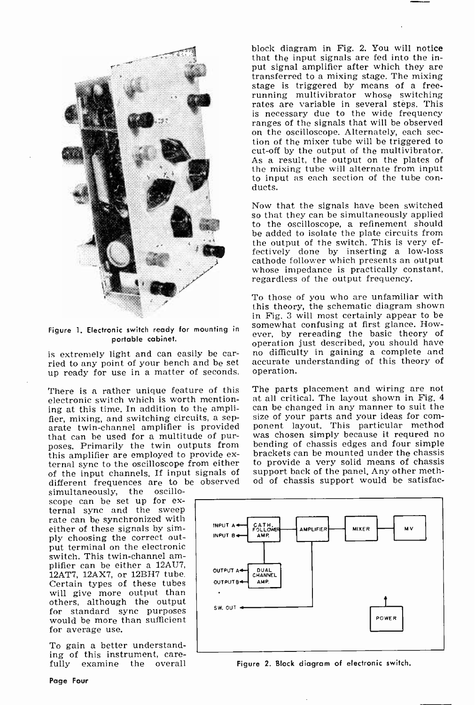

Figure 1. Electronic switch ready for mounting in portable cabinet.

up ready for use in a matter of seconds.

There is a rather unique feature of this electronic switch which is worth mentioning at this time. In addition to the amplifier, mixing, and switching circuits, a separate twin -channel amplifier is provided that can be used for a multitude of purposes. Primarily the twin outputs from ternal sync to the oscilloscope from either of the input channels. If input signals of different frequences are to be observed

simultaneously, the oscillo-<br>scope can be set up for external sync and the sweep rate can be synchronized with either of these signals by simply choosing the correct output terminal on the electronic<br>switch. This twin-channel amplifier can be either a 12AU7, 12AT7, 12AX7, or 12BH7 tube. Certain types of these tubes will give more output than others, although the output for standard sync purposes would be more than sufficient for average use.

To gain a better understand-<br>ing of this instrument, carefully examine the overall block diagram in Fig. 2. You will notice that the input signals are fed into the input signal amplifier after which they are transferred to a mixing stage. The mixing running multivibrator whose switching rates are variable in several steps. This is necessary due to the wide frequency ranges of the signals that will be observed on the oscilloscope. Alternately, each section of the mixer tube will be triggered to cut-off by the output of the multivibrator. As a result, the output on the plates of the mixing tube will alternate from input to input as each section of the tube con- ducts.

Now that the signals have been switched so that they can be simultaneously applied to the oscilloscope, a refinement should be added to isolate the plate circuits from the output of the switch. This is very effectively done by inserting a low-loss cathode follower which presents an output whose impedance is practically constant, regardless of the output frequency.

is extremely light and can easily be car- no difficulty in gaining a complete and<br>ried to any point of your bench and be set accurate understanding of this theory of To those of you who are unfamiliar with this theory, the schematic diagram shown in Fig. 3 will most certainly appear to be somewhat confusing at first glance. However, by rereading the basic theory of operation just described, you should have accurate understanding of this theory of operation.

> The parts placement and wiring are not at all critical. The layout shown in Fig. 4 can be changed in any manner to suit the ponent layout. This particular method<br>was chosen simply because it requred no<br>bending of chassis edges and four simple brackets can be mounted under the chassis to provide a very solid means of chassis support back of the panel. Any other method of chassis support would be satisfac-



Figure 2. Block diagram of electronic switch.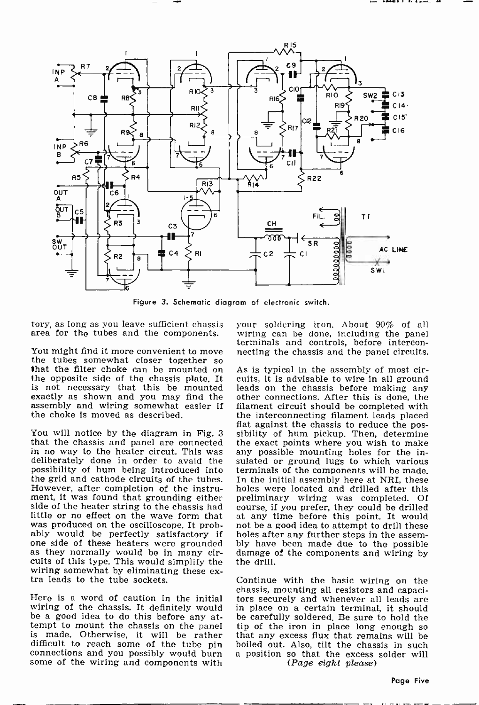

Figure 3. Schematic diagram of electronic switch.

tory, as long as you leave sufficient chassis

You might find it more convenient to move necting the chassis and the panel circuits.<br>the tubes somewhat closer together so<br>that the filter choke can be mounted on the opposite side of the chassis plate. It cuits, it is ad is not necessary that this be mounted exactly as shown and you may find the assembly and wiring somewhat easier if the choke is moved as described.

that the chassis and panel are connected in no way to the heater circut. This was deliberately done in order to avaid the possibility of hum being introduced into the grid and cathode circuits of the tubes. However, after completion of the instrument, it was found that grounding either side of the heater string to the chassis had little or no effect on the oscilloscope. It prob-<br>ably would be perfectly satisfactory if<br>one side of these heaters were grounded<br>as they normally would be in many ciras they normally would be in many cir- damage of the components and wiring by cuits of this type. This would simplify the the drill. wiring somewhat by eliminating these ex-<br>tra leads to the tube sockets.

wiring of the chassis. It definitely would be a good idea to do this before any at-<br>tempt to mount the chassis on the panel tempt to mount the chassis on the panel itp of the iron in place long enough so<br>is made. Otherwise, it will be rather that any excess flux that remains will be<br>difficult to reach some of the tube pin boiled out. Also, tilt connections and you possibly would burn some of the wiring and components with

area for the tubes and the components. wiring can be done, including the panel<br>terminals and controls, before interconyour soldering iron. About 90% of all wiring can be done, including the panel necting the chassis and the panel circuits.

flat against the chassis to reduce the pos-<br>You will notice by the diagram in Fig. 3 sibility of hum pickup. Then, determine As is typical in the assembly of most cirother connections. After this is done, the filament circuit should be completed with the interconnecting filament leads placed the exact points where you wish to make any possible mounting holes for the insulated or ground lugs to which various terminals of the components will be made. In the initial assembly here at NRI, these holes were located and drilled after this preliminary wiring was completed. Of course, if you prefer, they could be drilled at any time before this point. It would not be a good idea to attempt to drill these holes after any further steps in the assem-<br>bly have been made due to the possible

chassis, mounting all resistors and capaci-<br>Here is a word of caution in the initial tors securely and whenever all leads are Continue with the basic wiring on the tors securely and whenever all leads are in place on a certain terminal, it should be carefully soldered, Be sure to hold the that any excess flux that remains will be a position so that the excess solder will (Page eight please)

Page Five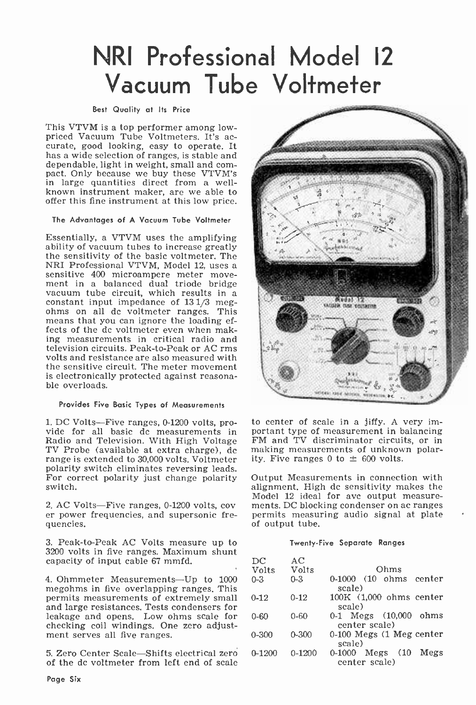# NRI Professional Model <sup>12</sup> Vacuum Tube Voltmeter

### Best Quality at Its Price

This VTVM is a top performer among low-<br>priced Vacuum Tube Voltmeters. It's accurate, good looking, easy to operate. It has a wide selection of ranges, is stable and<br>dependable, light in weight, small and compact. Only because we buy these VTVM's in large quantities direct from a wellknown instrument maker, are we able to offer this fine instrument at this low price.

# The Advantages of A Vacuum Tube Voltmeter

Essentially, a VTVM uses the amplifying ability of vacuum tubes to increase greatly the sensitivity of the basic voltmeter. The sensitive 400 microampere meter move-<br>ment in a balanced dual triode bridge<br>vacuum tube circuit, which results in a<br>constant input impedance of 131/3 megohms on all dc voltmeter ranges. This means that you can ignore the loading effects of the dc voltmeter even when making measurements in critical radio and television circuits. Peak -to -Peak or AC rms volts and resistance are also measured with the sensitive circuit. The meter movement is electronically protected against reasonable overloads.

#### Provides Five Basic Types of Measurements

Radio and Television. With High Voltage TV Probe (available at extra charge),  $\overline{dc}$  making measurements of unknow range is extended to 30.000 volts. Voltmeter ity, Five ranges 0 to  $\pm$  600 volts. range is extended to 30,000 volts. Voltmeter polarity switch eliminates reversing leads. For correct polarity just change polarity switch.

2. AC Volts-Five ranges, 0-1200 volts, cov er power frequencies, and supersonic frequencies.

3. Peak -to -Peak AC Volts measure up to 3200 volts in five ranges. Maximum shunt capacity of input cable 67 mmfd.

4. Ohmmeter Measurements-Up to 1000 megohms in five overlapping ranges. This permits measurements of extremely small and large resistances. Tests condensers for leakage and opens. Low ohms scale for checking coil windings. One zero adjustment serves all five ranges.

5. Zero Center Scale-Shifts electrical zero of the dc voltmeter from left end of scale



1. DC Volts—Five ranges, 0-1200 volts, pro-<br>vide for all basic dc measurements in portant type of measurement in balancing<br>Radio and Television. With High Voltage FM and TV discriminator circuits, or in to center of scale in a jiffy. A very important type of measurement in balancing making measurements of unknown polar-

> Output Measurements in connection with alignment. High dc sensitivity makes the Model 12 ideal for avc output measurements. DC blocking condenser on ac ranges permits measuring audio signal at plate of output tube.

## Twenty -Five Separate Ranges

| DC         | AC         |                                                     |
|------------|------------|-----------------------------------------------------|
| Volts      | Volts      | Ohms                                                |
| $0 - 3$    | $0 - 3$    | $0-1000$ $(10 \space ohms \space center)$<br>scale) |
| $0 - 12$   | $0 - 12$   | $100K$ $(1.000)$ ohms center<br>scale)              |
| $0 - 60$   | $0 - 60$   | 0-1 Megs (10,000 ohms<br>center scale)              |
| $0 - 300$  | $0 - 300$  | 0-100 Megs (1 Meg center<br>scale)                  |
| $0 - 1200$ | $0 - 1200$ | 0-1000 Megs (10<br>Megs<br>center scale)            |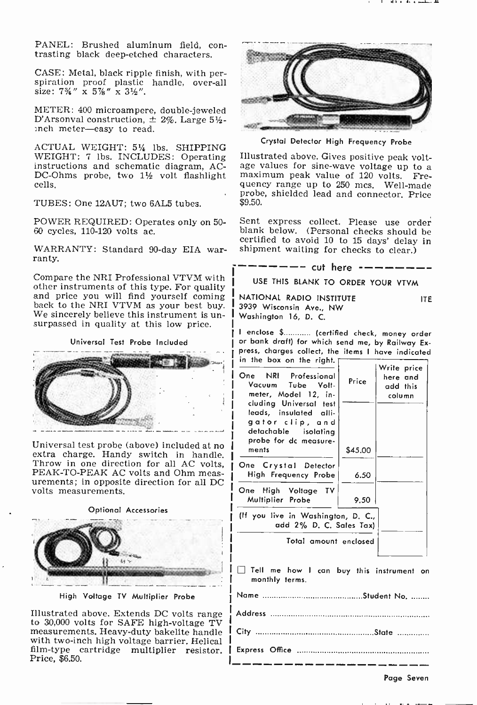PANEL: Brushed aluminum field, contrasting black deep-etched characters.

CASE: Metal, black ripple finish, with per- spiration proof plastic handle, over-all size:  $7\frac{3}{4}$ " x  $5\frac{7}{8}$ " x  $3\frac{1}{2}$ ".

METER: 400 microampere, double-jeweled D'Arsonval construction,  $\pm$  2%. Large 5½-<br>inch meter-easy to read.

ACTUAL WEIGHT: 514 lbs. SHIPPING<br>WEIGHT: 7 lbs. INCLUDES: Operating instructions and schematic diagram, AC-<br>DC-Ohms probe, two  $1\frac{1}{2}$  volt flashlight cells.

TUBES: One 12AU7; two 6AL5 tubes.

POWER REQUIRED: Operates only on 50- 60 cycles, 110-120 volts ac.

WARRANTY: Standard 90-day EIA war-<br>ranty.

Compare the NRI Professional VTVM with<br>other instruments of this type. For quality and price you will find yourself coming<br>back to the NRI VTVM as your best buy.<br>We sincerely believe this instrument is un-<br>surpassed in quality at this low price.

Universal Test Probe Included



Universal test probe (above) included at no extra charge. Handy switch in handle. Throw in one direction for all AC volts, PEAK-TO-PEAK AC volts and Ohm meas-<br>urements; in opposite direction for all DC volts measurements.

Optional Accessories



High Voltage TV Multiplier Probe

Illustrated above. Extends DC volts range to 30,000 volts for SAFE high -voltage TV measurements. Heavy-duty bakelite handle with two-inch high voltage barrier. Helical film -type cartridge multiplier resistor. Price, \$6.50.



Crystal Detector High Frequency Probe

Illustrated above. Gives positive peak voltage values for sine -wave voltage up to a maximum peak value of 120 volts. Frequency range up to 250 mcs. Well-made probe, shielded lead and connector. Price \$9.50.

Sent express collect. Please use order blank below. (Personal checks should be certified to avoid 10 to 15 days' delay in shipment waiting for checks to clear.)

 $--$  cut here  $---$ 

USE THIS BLANK TO ORDER YOUR VTVM

NATIONAL RADIO INSTITUTE ITE ITE<br>3939 Wisconsin Ave., NW Washington 16, D. C.

I enclose \$ (certified check, money order or bank draft) for which send me, by Railway Ex-<br>press, charges collect, the items I have indicated in the box on the right.  $\Gamma$ 

| One NRI Professional<br>Vacuum Tube Volt-<br>meter, Model 12, in-<br>cluding Universal test<br>leads, insulated alli-<br>gator clip, and<br>detachable isolating<br>probe for dc measure- | Price   | Write price<br>here and<br>add this<br>column |  |
|-------------------------------------------------------------------------------------------------------------------------------------------------------------------------------------------|---------|-----------------------------------------------|--|
| ments                                                                                                                                                                                     | \$45.00 |                                               |  |
| One Crystal Detector<br>High Frequency Probe                                                                                                                                              | 6.50    |                                               |  |
| One High Voltage TV<br>Multiplier Probe                                                                                                                                                   | 9.50    |                                               |  |
| (If you live in Washington, D. C.,<br>add 2% D. C. Sales Tax)                                                                                                                             |         |                                               |  |
| Total amount enclosed                                                                                                                                                                     |         |                                               |  |

Tell me how I can buy this instrument on monthly terms.

Page Seven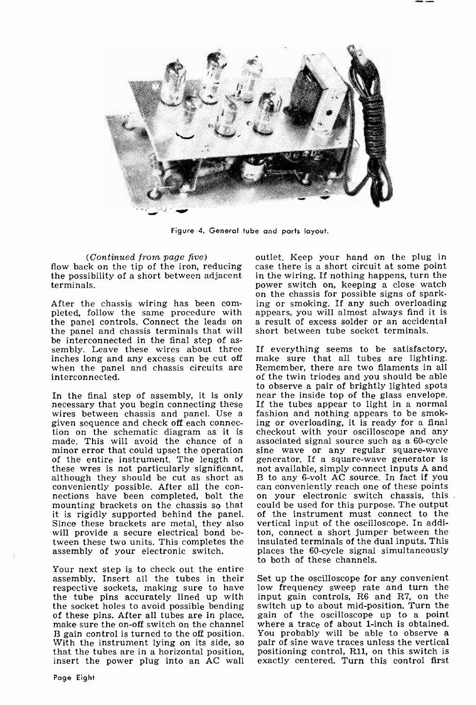

Figure 4. General tube and parts layout.

(Continued from page five)

flow back on the tip of the iron, reducing the possibility of a short between adjacent terminals.

After the chassis wiring has been com- ing or smoking. If any such overloading pleted, follow the same procedure with appears, you will almost always find it is the panel controls. Connect the leads on the panel and chassis terminals that will sembly. Leave these wires about three If everything seems to be satisfactory, inches long and any excess can be cut off make sure that all tubes are lighting.<br>when the panel and chassis circuits are Remember, there are two filaments in all when the panel and chassis circuits are interconnected.

In the final step of assembly, it is only near the inside top of the glass envelope.<br>necessary that you begin connecting these If the tubes appear to light in a normal necessary that you begin connecting these<br>wires between chassis and panel. Use a given sequence and check off each connec- ing or overloading, it is ready for a final<br>tion on the schematic diagram as it is checkout with your oscilloscope and any<br>made. This will avoid the chance of a associated signal s minor error that could upset the operation sine wave  $\overline{or}$  any regular square-wave of the entire instrument. The length of these wres is not particularly significant, although they should be cut as short as B to any 6-volt AC source. In fact if you conveniently possible. After all the con- can conveniently reach one of these points nections have been completed, bolt the on your electron mounting brackets on the chassis so that it is rigidly supported behind the panel. Since these brackets are metal, they also will provide a secure electrical bond between these two units. This completes the assembly of your electronic switch.

Your next step is to check out the entire assembly. Insert all the tubes in their respective sockets, making sure to have the tube pins accurately lined up with the socket holes to avoid possible bending switch up to about mid-position. Turn the of these pins. After all tubes are in place, gain of the oscilloscope up to a point make sure the on-off switch on the channel<br>B gain control is turned to the off position. With the instrument lying on its side, so pair of sine wave traces unless the vertical that the tubes are in a horizontal position, positioning control, R11, on this switch is insert the power plug into an AC wall exactly

outlet. Keep your hand on the plug in case there is a short circuit at some point in the wiring. If nothing happens, turn the power switch on, keeping a close watch on the chassis for possible signs of sparking or smoking. If any such overloading a result of excess solder or an accidental short between tube socket terminals.

make sure that all tubes are lighting. of the twin triodes and you should be able to observe a pair of brightly lighted spots near the inside top of the glass envelope. fashion and nothing appears to be smoking or overloading, it is ready for a final checkout with your oscilloscope and any generator. If a square-wave generator is not available, simply connect inputs A and on your electronic switch chassis, this could be used for this purpose. The output of the instrument must connect to the vertical input of the oscilloscope. In additon, connect a short jumper between the insulated terminals of the dual inputs. This places the 60-cycle signal simultaneously to both of these channels.

Set up the oscilloscope for any convenient low frequency sweep rate and turn the input gain controls, R6 and R7, on the switch up to about mid-position. Turn the where a trace of about 1-inch is obtained. You probably will be able to observe a positioning control, Rll, on this switch is exactly centered. Turn this control first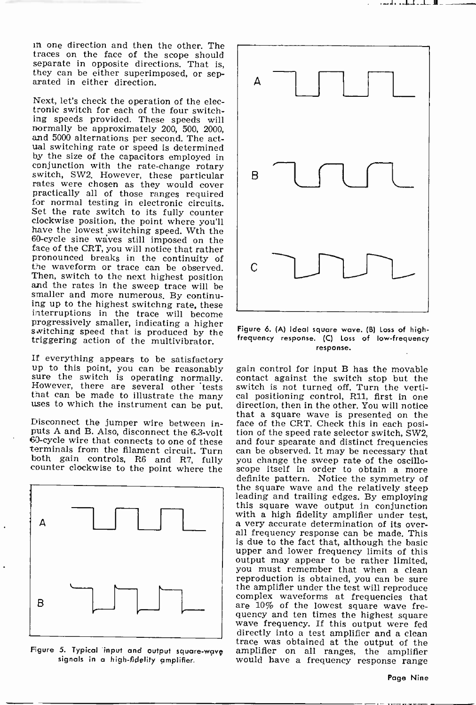in one direction and then the other. The traces on the face of the scope should separate in opposite directions. That is, they can be either superimposed, or sep-<br>arated in either direction.

Next, let's check the operation of the electronic switch for each of the four switching speeds provided. These speeds will and 5000 alternations per second. The actual switching rate or speed is determined by the size of the capacitors employed in conjunction with the rate-change rotary switch, SW2. However, these particular rates were chosen as they would cover practically all of those ranges required for normal testing in electronic circuits. Set the rate switch to its fully counter clockwise position, have the lowest switching speed. Wth the 60 -cycle sine waves still imposed on the face of the CRT, you will notice that rather pronounced breaks in the continuity of the waveform or trace can be observed. and the rates in the sweep trace will be smaller and more numerous. By continuing up to the highest switching rate, these interruptions in the trace will become progressively smaller, indicating a higher switching speed that is produced by the Figure 6. (A) ideal square wave. (B) Loss of high-<br>triggering action of the multivibrator. frequency response. (C) Loss of low-frequency

If everything appears to be satisfactory up to this point, you can be reasonably gainty sure the switch is operating normally. cor<br>However, there are several other tests switch can be made to illustrate the many cal<br>uses to which the instrument can be put. dir

Disconnect the jumper wire between in-



Figure 5. Typical input and output square-wave<br>signals in a high-fidelity amplifier.



Figure 6. (A) Ideal square wave. (B) Loss of highresponse.

Disconnect the jumper wire between in-<br>puts A and B. Also, disconnect the 6.3-volt tion of the speed rate selector switch, SW2,<br>60-cycle wire that connects to one of these and four spearate and distinct frequencies 60-cycle wire that connects to one of these and four spearate and distinct frequencies terminals from the filament circuit. Turn can be observed. It may be necessary that both gain controls, R6 and R7, fully you change the gain control for input B has the movable contact against the switch stop but the switch is not turned off. Turn the vertical positioning control, R11, first in one direction, then in the other. You will notice that a square wave is presented on the tion of the speed rate selector switch, SW2, you change the sweep rate of the oscilloscope itself in order to obtain a more definite pattern. Notice the symmetry of the square wave and the relatively steep leading and trailing edges. By employing<br>this square wave output in conjunction<br>with a high fidelity amplifier under test,<br>a very accurate determination of its over-<br>all frequency response can be made. This is due to the fact that, although the basic upper and lower frequency limits of this output may appear to be rather limited, you must remember that when a clean reproduction is obtained, you can be sure the amplifier under the test will reproduce complex waveforms at frequencies that are 10% of the lowest square wave frequency and ten times the highest square wave frequency. If this output were fed directly into a test amplifier and a clean trace was obtained at the output of the would have a frequency response range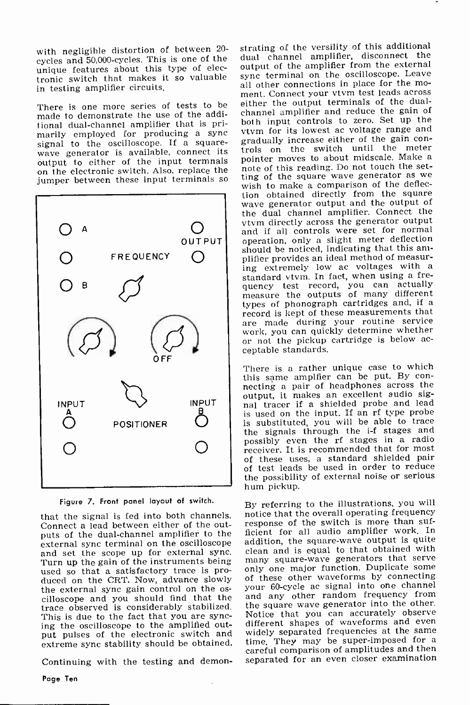with negligible distortion of between 20-<br>cycles and 50,000-cycles. This is one of the unique features about this type of electronic switch that makes it so valuable sync terminal on the oscilloscope. Leave<br>in testing amplifier circuits in testing amplifier circuits.

made to demonstrate the use of the additional dual -channel amplifier that is primarily employed for producing a sync vtvm for its lowest ac voltage range and<br>signal to the oscilloscope. If a square- gradually increase either of the gain conwave generator is available, connect its trols on the switch until the fileter<br>subsut to either of the input terminals connect moves to about midscale. Make a output to either of the input termnals pointer moves to about midscale, make a<br>on the electronic switch. Also, replace the note of this reading. Do not touch the set-<br>jumper between these input terminals so ting of the squ jumper between these input terminals so



Figure 7. Front panel layout of switch.

that the signal is fed into both channels. Connect a lead between either of the outputs of the dual-channel amplifier to the external sync terminal on the oscilloscope and set the scope up for external sync. Turn up the gain of the instruments being — many square-wave generators that serve<br>used so that a satisfactory trace is pro- — only one major function. Duplicate some used so that a satisfactory trace is produced on the CRT. Now, advance slowly of these other waveforms by connecting<br>the external sync gain control on the os-your 60-cycle ac signal into one channel cilloscope and you should find that the trace observed is considerably stabilized. This is due to the fact that you are syncing the oscilloscope to the amplified output pulses of the electronic switch and widely separated frequencies at the same

Continuing with the testing and demon-

There is one more series of tests to be either the output terminals of the dual-<br>made to demonstrate the use of the addi- channel amplifier and reduce the gain of **OUTPUT** operation, only a slight meter deflection<br>should be noticed, indicating that this amstrating of the versility of this additional dual channel amplifier, disconnect the output of the amplifier from the external sync terminal on the oscilloscope. Leave ment. Connect your vtvm test leads across either the output terminals of the dualboth input controls to zero. Set up the vtvm for its lowest ac voltage range and trols on the switch until the meter note of this reading. Do not touch the setwish to make a comparison of the deflec-<br>tion obtained directly from the square wave generator output and the output of the dual channel amplifier. Connect the vtvm directly across the generator output and if all controls were set for normal operation, only a slight meter deflection plifier provides an ideal method of measur-<br>ing extremely low ac voltages with a standard vtvm. In fact, when using a frequency test record, you can actually measure the outputs of many different<br>types of phonograph cartridges and, if a record is kept of these measurements that<br>are made during your routine service<br>work, you can quickly determine whether or not the pickup cartridge is below ac-<br>ceptable standards.

> There is a rather unique case to which<br>this same amplfier can be put. By connecting a pair of headphones across the output, it makes an excellent audio signal tracer if a shielded probe and lead is used on the input. If an rf type probe is substituted, you will be able to trace the signals through the i-f stages and possibly even the rf stages in a radio receiver. It is recommended that for most of these uses, a standard shielded pair of test leads be used in order to reduce the possibility of external noise or serious hum pickup.

extreme sync stability should be obtained. time. They may be super-imposed for a careful comparison of amplitudes and then By referring to the illustrations, you will notice that the overall operating frequency response of the switch is more than sufficient for all audio amplifier work. In addition, the square -wave output is quite clean and is equal to that obtained with many square-wave generators that serve your 60 -cycle ac signal into one channel and any other random frequency from the square wave generator into the other. Notice that you can accurately observe<br>different shapes of waveforms and even time. They may be super-imposed for a separated for an even closer examination

Page Ten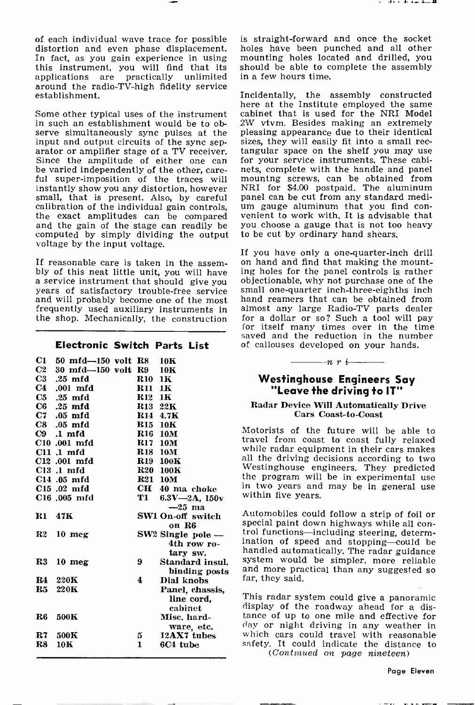of each individual wave trace for possible is straight-forward and once the socket distortion and even phase displacement. In fact, as you gain experience in using mounting holes located and drilled, you this instrument, y applications are practically around the radio-TV-high fidelity service establishment.

serve simultaneously sync pulses at the pleasing appearance due to their identical input and output circuits of the sync sep-<br>sizes, they will easily fit into a small recinput and output circuits of the sync separator or amplifier stage of a TV receiver.<br>Since the amplitude of either one can be varied independently of the other, care-<br>ful super-imposition of the traces will mounting screws, can be obtained from instantly show you any distortion, however small, that is present. Also, by careful calibration of the individual gain controls, the exact amplitudes can be compared venient to work with. It is advisable that and the gain of the stage can readily be you choose a gauge that is not too heavy computed by simply dividing the output voltage by the input voltage.

If reasonable care is taken in the assem-<br>bly of this neat little unit, you will have<br>a service instrument that should give you years of satisfactory trouble -free service and will probably become one of the most frequently used auxiliary instruments in almost any large Radio-TV parts dealer<br>the shop. Mechanically, the construction for a dollar or so? Such a tool will pay the shop. Mechanically, the construction

# Electronic Switch Parts List

|                | C1 50 mfd-150 volt R8 10K |                |                       |                |
|----------------|---------------------------|----------------|-----------------------|----------------|
| C2             | 30 mfd-150 volt R9        |                | 10K                   |                |
| C3             | $.25$ mfd                 | <b>R10</b>     | 1К                    | Westi          |
| C <sub>4</sub> | $.001$ mfd                | R11            | 1 <sub>K</sub>        | "Le            |
| C5             | $.25$ mfd                 | <b>R</b> 12    | 1K                    |                |
| C6             | $.25$ mfd                 | R13 22K        |                       | Radar De       |
|                | $C7$ .05 mfd              |                | R14 4.7K              |                |
|                | $C8$ .05 mfd              | R15 10K        |                       |                |
|                | $C9$ .1 mfd               | <b>R16</b>     | 10M                   | Motorists      |
|                | C <sub>10</sub> .001 mfd  | <b>R17</b>     | 10M                   | travel from    |
|                | $C11.1 \text{ mfd}$       | <b>R18 10M</b> |                       | while rada:    |
|                | C12 .001 mfd              |                | <b>R19 100K</b>       | all the dri    |
|                | $C13$ .1 mfd              |                | <b>R20 100K</b>       | Westingho      |
|                | $C14$ .05 mfd             |                | <b>R21 10M</b>        | the progra     |
|                | $C15$ .02 mfd             |                | CH 40 ma choke        | in two yea     |
|                | C <sub>16</sub> .005 mfd  | T1             | $6.3V - 2A$ , $150v$  | within five    |
|                |                           |                | $-25$ ma              |                |
| R1             | 47K                       |                | SW1 On-off switch     | Automobile     |
|                |                           |                | on R6                 | special pai:   |
| ${\bf R2}$     | $10 \text{ mag}$          |                | $SW2$ Single pole $-$ | trol functio   |
|                |                           |                | 4th row ro-           | ination of     |
|                |                           |                |                       | handled au     |
|                |                           |                | tary sw.              | system wo      |
| ${\bf R3}$     | $10 \text{ meg}$          | 9              | Standard insul.       | and more       |
|                |                           |                | binding posts         | far, they sa   |
| R4             | 220K                      | 4              | Dial knobs            |                |
| $_{\rm R5}$    | 220K                      |                | Panel, chassis,       | This radar     |
|                |                           |                | line cord,            |                |
|                |                           |                | cabinet               | display of     |
| R6             | 500K                      |                | Misc. hard-           | tance of u     |
|                |                           |                | ware, etc.            | day or nig     |
| R7             | 500K                      | 5              | 12AX7 tubes           | which cars     |
| R8             | 10K                       | 1              | 6C4 tube              | safety. It     |
|                |                           |                |                       | $\overline{a}$ |

is straight -forward and once the socket holes have been punched and all other should be able to complete the assembly

Some other typical uses of the instrument cabinet that is used for the NRI Model in such an establishment would be to ob-  $2W$  vtvm. Besides making an extremely Incidentally, the assembly constructed here at the Institute employed the same cabinet that is used for the NRI Model pleasing appearance due to their identical tangular space on the shelf you may use for your service instruments. These cabinets, complete with the handle and panel mountng screws, can be obtained from NRI for \$4.00 postpaid. The aluminum um gauge aluminum that you find conyou choose a gauge that is not too heavy to be cut by ordinary hand shears.

> If you have only a one -quarter -inch drill on hand and find that making the mounting holes for the panel controls is rather objectionable, why not purchase one of the small one-quarter inch-three-eighths inch hand reamers that can be obtained from almost any large Radio-TV parts dealer for itself many times over in the time saved and the reduction in the number of callouses developed on your hands.

# Westinghouse Engineers Say "Leave the driving to IT"

 $-$ n r i $-$ 

# Radar Device Will Automatically Drive Cars Coast-to-Coast

Motorists of the future will be able to travel from coast to coast fully relaxed while radar equipment in their cars makes all the driving decisions according to two<br>Westinghouse engineers. They predicted the program will be in experimental use<br>in two years and may be in general use<br>within five years.

binding posts and more practical than any suggested so far, they said. Automobiles could follow a strip of foil or special paint down highways while all con- trol functions-including steering, determination of speed and stopping-could be handled automatically. The radar guidance system would be simpler, more reliable

> This radar system could give a panoramic display of the roadway ahead for a distance of up to one mile and effective for day or night driving in any weather in which cars could travel with reasonable safety. It could indicate the distance to (Continued on page nineteen)

> > Page Eleven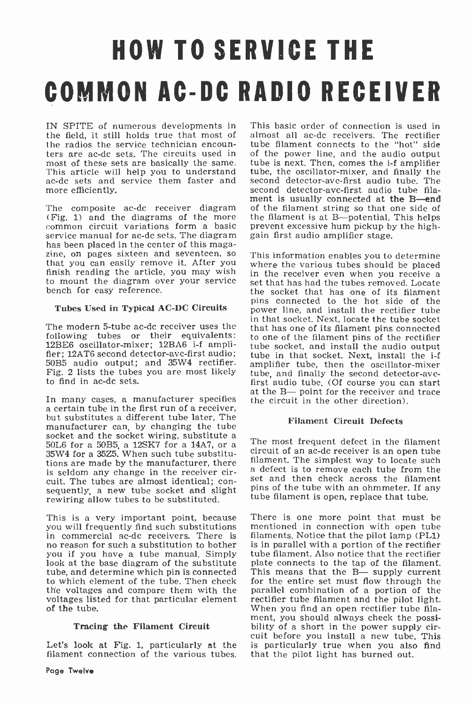# HOW TO SERVICE THE COMMON AC -DC RADIO RECEIVER

IN SPITE of numerous developments in the field, it still holds true that most of the radios the service technician encoun-<br>ters are ac-dc sets. The circuits used in of the power line, and the audio output<br>most of these sets are basically the same. tube is next. Then, comes the i-f amplifier This article will help you to understand ac-dc sets and service them faster and more efficiently.

has been placed in the center of this maga-<br>zine, on pages sixteen and seventeen, so that you can easily remove it. After you where the various tubes should be placed finish reading the article, you may wish in the receiver even when you receive a<br>to mount the diagram over your service set that has had the tubes removed Locate to mount the diagram over your service bench for easy reference.

# Tubes Used in Typical AC -DC Circuits

The modern 5-tube ac-dc receiver uses the following tubes or their equivalents: 12BE6 oscillator-mixer; 12BA6 i-f amplifier; 12AT6 second detector-avc-first audio; tube in that socket. Next, install the i-f 50B5 audio output; and 35W4 rectifier. Fig. 2 lists the tubes you are most likely to find in ac -dc sets.

In many cases, a manufacturer specifies a certain tube in the first run of a receiver, but substitutes a different tube later. The manufacturer can, by changing the tube socket and the socket wiring, substitute a 50L6 for a 50B5, a 12SK7 for a 14A7, or a 35W4 for a 35Z5. When such tube substitutions are made by the manufacturer, there filament. The simplest way to locate such is seldom any change in the receiver cir-<br>cuit. The tubes are almost identical; consequently, a new tube socket and slight<br>rewiring allow tubes to be substituted.

This is a very important point, because you will frequently find such substitutions in commercial ac -dc receivers. There is no reason for such a substitution to bother look at the base diagram of the substitute tube, and determine which pin is connected to which element of the tube. Then check the voltages and compare them with the parallel combination of a portion of the voltages listed for that particular element rectifier tube filament and the pilot light. voltages listed for that particular element of the tube.

# Tracing the Filament Circuit

Let's look at Fig. 1, particularly at the filament connection of the various tubes.

The composite ac-dc receiver diagram of the filament string so that one side of (Fig. 1) and the diagrams of the more the filament is at B—potential. This helps common circuit variations form a basic prevent excessive hum This basic order of connection is used in almost all ac-dc receivers. The rectifier tube filament connects to the "hot" side of the power line, and the audio output tube is next. Then, comes the i -f amplifier tube, the oscillator -mixer, and finally the second detector-avc-first audio tube. The second detector-avc-first audio tube filament is usually connected at the B-end of the filament string so that one side of the filament is at B-potential. This helps

> This information enables you to determine in the receiver even when you receive a the socket that has one of its filament pins connected to the hot side of the power line, and install the rectifier tube in that socket. Next, locate the tube socket that has one of its filament pins connected to one of the filament pins of the rectifier tube socket, and install the audio output amplifier tube, then the oscillator-mixer tube, and finally the second detector-avcfirst audio tube. (Of course you can start at the B- point for the receiver and trace the circuit in the other direction).

# Filament Circuit Defects

The most frequent defect in the filament circuit of an ac -dc receiver is an open tube a defect is to remove each tube from the set and then check across the filament pins of the tube with an ohmmeter. If any tube filament is open, replace that tube.

There is one more point that must be mentioned in connection with open tube filaments. Notice that the pilot lamp (PL1) is in parallel with a portion of the rectifier tube filament. Also notice that the rectifier plate connects to the tap of the filament. This means that the  $B$ - supply current for the entire set must flow through the parallel combination of a portion of the When you find an open rectifier tube fila-<br>ment, you should always check the possibility of a short in the power supply circuit before you install a new tube. This is particularly true when you also find that the pilot light has burned out.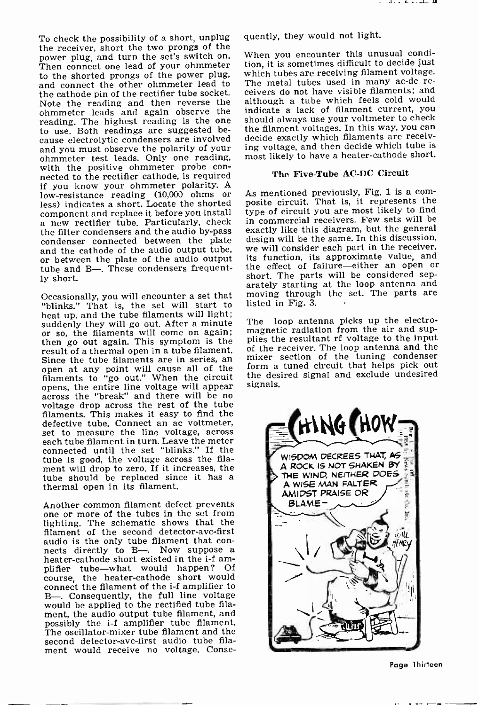To check the possibility of a short, unplug the receiver, short the two prongs of the power plug, and turn the set's switch on. Then connect one lead of your ohmmeter to the shorted prongs of the power plug, which tubes are receiving filament voltage.<br>and connect the other obmmeter lead to The metal tubes used in many ac-dc reand connect the other ohmmeter lead to the cathode pin of the rectifier tube socket. Note the reading and then reverse the ohmmeter leads and again observe the<br>reading. The highest reading is the one reading. The highest reading is the one to use. Both readings are suggested be-<br>cause electrolytic condensers are involved decide exactly which filaments are receivand you must observe the polarity of your ohmmeter test leads. Only one reading, with the positive ohmmeter probe con-<br>nected to the rectifier cathode, is required if you know your ohmmeter polarity. A<br>low-resistance reading (10,000 ohms or – As-mentioned previously, Fig. 1 is a comless) indicates a short. Locate the shorted component and replace it before you install a new rectifier tube. Particularly, check the filter condensers and the audio by-pass exactly like this diagram, but the general<br>condenser connected between the plate design will be the same. In this discussion, condenser connected between the plate or between the plate of the audio output<br>tube and B-. These condensers frequently short.

Occasionally, you will encounter a set that "blinks." That is, the set will start to heat up, and the tube filaments will light;<br>suddenly they will go out. After a minute The or so, the filaments will come on again; then go out again. This symptom is the result of a thermal open in a tube filament. Since the tube filaments are in series, an  $\frac{m}{n}$ <br>open at any point will cause all of the for<br>filaments to "go out." When the circuit the opens, the entire line voltage will appear across the "break" and there will be no voltage drop across the rest of the tube filaments. This makes it easy to find the defective tube. Connect an ac voltmeter,<br>set to measure the line voltage, across set to measure the line voltage, across each tube filament in turn. Leave the meter connected until the set "blinks." If the tube is good, the voltage across the filament will drop to zero. If it increases, the tube should be replaced since it has a thermal open in its filament.

Another common filament defect prevents one or more of the tubes in the set from lighting. The schematic shows that the filament of the second detector-avc-first<br>audio is the only tube filament that conaudio is the only tube filament that con-<br>nects directly to B--. Now suppose a<br>heater-cathode short existed in the i-f am-<br>plifier tube—what would happen? Of<br>course, the heater-cathode short would connect the filament of the i-f amplifier to B-. Consequently, the full line voltage would be applied to the rectified tube filament, the audio output tube filament, and possibly the *i-f* amplifier tube filament. The oscillator-mixer tube filament and the second detector-avc-first audio tube filament would receive no voltage. Conse-

quently, they would not light.

When you encounter this unusual condition, it is sometimes difficult to decide just which tubes are receiving filament voltage. ceivers do not have visible filaments; and although a tube which feels cold would indicate a lack of filament current, you should always use your voltmeter to check decide exactly which filaments are receiving voltage, and then decide which tube is most likely to have a heater -cathode short.

# The Five-Tube AC-DC Circuit

posite circuit. That is, it represents the type of circuit you are most likely to find in commercial receivers. Few sets will be exactly like this diagram, but the general we will consider each part in the receiver. its function, its approximate value, and short. The parts will be considered separately starting at the loop antenna and moving through the set. The parts are listed in Fig. 3.

loop antenna picks up the electromagnetic radiation from the air and supplies the resultant rf voltage to the input of the receiver. The loop antenna and the mixer section of the tuning condenser form a tuned circuit that helps pick out the desired signal and exclude undesired signals.



Page Thirteen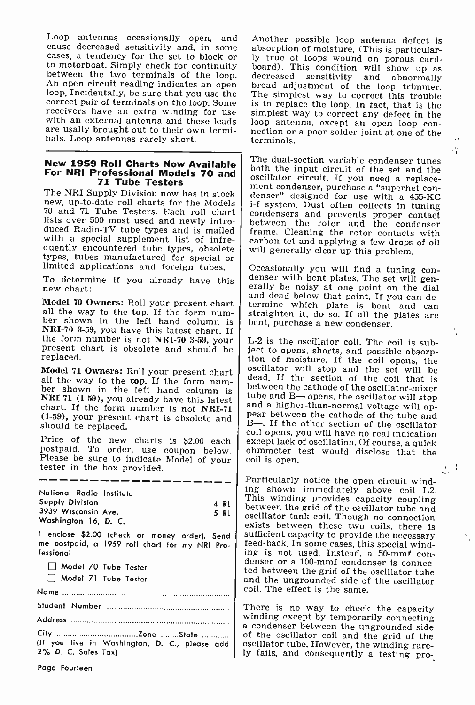Loop antennas occasionally open, and Another possible loop antenna defect is cause decreased sensitivity and, in some absorption of moisture. (This is particular-cases, a tendency for the set to block or ly true of loops w correct pair of terminals on the loop. Some receivers have an extra winding for use simplest way to correct any defect in the with an external antenna and these leads loop antenna, except an open loop con-<br>are usally brought out to their own termi-<br>nection or a poor are usally brought out to their own terminals. Loop antennas rarely short.

# 71 Tube Testers

new, up-to-date roll charts for the Models lists over 500 most used and newly introlists over 500 most used and newly intro-<br>duced Radio-TV tube types and is mailed<br>with a special supplement list of infre-<br>carbon tet and applying a few drops of oil with a special supplement list of infrequently encountered tube types, obsolete will generally clear up this problem.

To determine if you already have this new chart:

ber shown in the left hand column is **NRI-70 3-59,** you have this latest chart. If the form number is not **NRI-70 3-59,** your present chart is obsolete and should be replaced.

all the solution in the left hand column is<br>  $\begin{bmatrix}\n\text{NRI-71 (1-59)},\n\text{you already have this last test}\n\text{NRI-71 (1-59)},\n\text{you already have this not NRI-71}\n\end{bmatrix}\n\begin{bmatrix}\n\text{between the cathode of the oscillator-mixer}\n\text{to the end}\n\text{and a higher-than-normal voltage will ap-  
\nper a higher-than-normal voltage will ap-  
\nper the cathode of the tube and$ (1-59), your present chart is obsolete and should be replaced.

Please be sure to indicate Model of your tester in the box provided.

National Radio Institute Supply Division 3939 Wisconsin Ave. Washington 16, D. C. I enclose \$2.00 (check or money order). Send me postpaid, a 1959 roll chart for my NRI Professional Model 70 Tube Tester Model 71 Tube Tester 4 RL Name Student Number Address

City Zone State (If you live in Washington, D. C., please add | oscillator tube. However, the winding rare-2% D. C. Sales Tax)

absorption of moisture. (This is particularly true of loops wound on porous card-The simplest way to correct this trouble simplest way to correct any defect in the loop antenna, except an open loop con- nection or a poor solder joint at one of the terminals.

 $^{+6}$ 

New 1959 Roll Charts Now Available  $\begin{bmatrix}$  The dual-section variable condenser tunes<br>For NRI Professional Models 70 and oscillator circuit. If you need a replace-The NRI Supply Division now has in stock<br>The NRI Supply Division now has in stock<br>The Nodels is the Models in the Superversity of the Models in tuning<br>The Nodels in tuning is system. Dust often collects in tuning both the input circuit of the set and the condensers and prevents proper contact

types, tubes manufactured for special or<br>limited applications and foreign tubes.<br>To determine if you already have this denser with bent plates. The set will gen-Model 70 Owners: Roll your present chart and dead below that point. If you can de-<br>all the way to the top. If the form num-<br>straighten it do so If all the plates are erally be noisy at one point on the dial<br>and dead below that point. If you can de-<br>termine which plate is bent and can<br>straighten it, do so. If all the plates are<br>bent, purchase a new condenser.

Model 71 Owners: Roll your present chart scillator will stop and the set will be all the way to the top. If the form num-Price of the new charts is \$2.00 each except lack of oscillation. Of course, a quick postpaid. To order, use coupon below. channeler test would disclose that the L-2 is the oscillator coil. The coil is sub-<br>ject to opens, shorts, and possible absorp-<br>tion of moisture. If the coil opens, the<br>oscillator will stop and the set will be<br>dead. If the section of the coil that is<br>between t B-. If the other section of the oscillator coil opens, you will have no real indication except lack of oscillation. Of course, a quick coil is open.

> 5 RL oscillator tank coil. Though no connection Particularly notice the open circuit wind-<br>ing shown immediately above coil L2.<br>This winding provides capacity coupling<br>between the grid of the oscillator tube and<br>oscillator tank coil. Though no connection<br>exists between sufficient capacity to provide the necessary<br>feed-back. In some cases, this special winding is not used. Instead, a 50-mmf condenser or a 100-mmf condenser is connected between the grid of the oscillator tube and the ungrounded side of the oscillator coil. The effect is the same.

> > There is no way to check the capacity winding except by temporarily connecting a condenser between the ungrounded side of the oscillator coil and the grid of the ly fails, and consequently a testing pro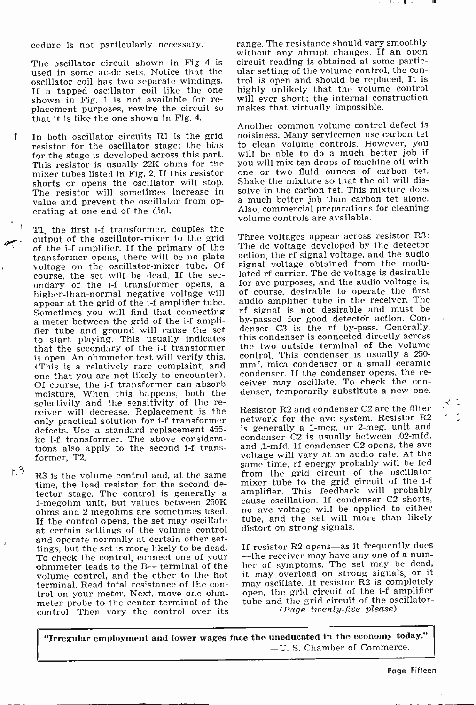cedure is not particularly necessary.

used in some ac-dc sets. Notice that the ular setting of the volume control, the con-<br>oscillator coil has two separate windings. trol is open and should be replaced. It is If a tapped oscillator coil like the one shown in Fig. 1 is not available for re-<br>placement purposes, rewire the circuit so that it is like the one shown in Fig. 4.

In both oscillator circuits Rl is the grid resistor for the oscillator stage; the bias for the stage is developed across this part. This resistor is usually 22K ohms for the you will mix ten drops of machine oil with<br>mixer tubes listed in Fig. 2. If this resistor – one, or two-fluid, ounces, of carbon, tet. mixer tubes listed in Fig. 2. If this resistor shorts or opens the oscillator will stop. Shake the mixture so that the oil will dis-<br>The resister will sometimes increase in solve in the carbon tet. This mixture does The resistor will sometimes increase in value and prevent the oscillator from operating at one end of the dial.

 $\mathcal{P}$ T1, the first i-f transformer, couples the output of the oscillator-mixer to the grid of the i-f amplifier. If the primary of the transformer opens, there will be no plate voltage on the oscillator-mixer tube. Of<br>course, the set will be dead. If the secondary of the i-f transformer opens, a higher-than-normal negative voltage will appear at the grid of the i-f amplifier tube.<br>Sometimes you will find that connecting a meter between the grid of the i-f amplifier tube and ground will cause the set to start playing. This usually indicates this condenser is connected directly across<br>that the secondary of the i-f transformer the two outside terminal of the volume that the secondary of the i-f transformer is open. An ohmmeter test will verify this.<br>(This is a relatively rare complaint, and (This is a relatively rare complaint, and  $\sum_{n=1}^{\infty}$  condenser. If the condenser opens, the re-<br>Of course the if transformer can absorbe ceiver may oscillate. To check the con-Of course, the i-f transformer can absorb moisture. When this happens, both the selectivity and the sensitivity of the re- ceiver will decrease. Replacement is the only practical solution for i -f transformer defects. Use a standard replacement 455 kc i-f transformer. The above considerations also apply to the second i-f transformer, T2.

R3 is the volume control and, at the same time, the load resistor for the second detector stage. The control is generally a amplifier. This feedback will probably<br>1-megohm unit, but values between 250K cause oscillation. If condenser C2 shorts,<br>20 ahms and 2 megohms are sometimes used no ave voltage will ohms and 2 megohms are sometimes used. If the control opens, the set may oscillate at certain settings of the volume control and operate normally at certain other settings, but the set is more likely to be dead. To check the control, connect one of your ohmmeter leads to the B-- terminal of the volume control, and the other to the hot terminal. Read total resistance of the con- trol on your meter. Next, move one ohmmeter probe to the center terminal of the control. Then vary the control over its

r. 3

f

The oscillator circuit shown in Fig 4 is circuit reading is obtained at some particrange. The resistance should vary smoothly without any abrupt changes. If an open ular setting of the volume control, the conhighly unlikely that the volume control will ever short; the internal construction makes that virtually impossible.

> Another common volume control defect is noisiness. Many servicemen use carbon tet to clean volume controls. However, you will be able to do a much better job if you will mix ten drops of machine oil with Shake the mixture so that the oil will disa much better job than carbon tet alone. Also, commercial preparations for cleaning volume controls are available.

> Three voltages appear across resistor R3: The dc voltage developed by the detector action, the rf signal voltage, and the audio signal voltage obtained from the modulated rf carrier. The dc voltage is desirable for ave purposes, and the audio voltage is, of course, desirable to operate the first audio amplifier tube in the receiver. The rf signal is not desirable and must be by-passed for good detector action. Condenser C3 is the rf by-pass. Generally, this condenser is connected directly across control. This condenser is usually a 250 mmf. mica condenser or a small ceramic denser, temporarily substitute a new one.

Resistor R2 and condenser C2 are the filter network for the avc system. Resistor R2 is generally a 1-meg. or 2-meg. unit and condenser C2 is usually between .02-mfd. and .1-mfd. If condenser C2 opens, the ave voltage will vary at an audio rate. At the same time, rf energy probably will be fed from the grid circuit of the oscillator mixer tube to the grid circuit of the i-f amplifier. This feedback will probably cause oscillation. If condenser C2 shorts, tube, and the set will more than likely distort on strong signals.

If resistor R2 opens-as it frequently does -the receiver may have any one of a num-<br>ber of symptoms. The set may be dead, it may overload on strong signals, or it may oscillate. If resistor R2 is completely open, the grid circuit of the i-f amplifier tube and the grid circuit of the oscillator-<br>(Page twenty-five please)

<sup>I</sup>"Irregular employment and lower wages face the uneducated in the economy today." -U. S. Chamber of Commerce.

Page Fifteen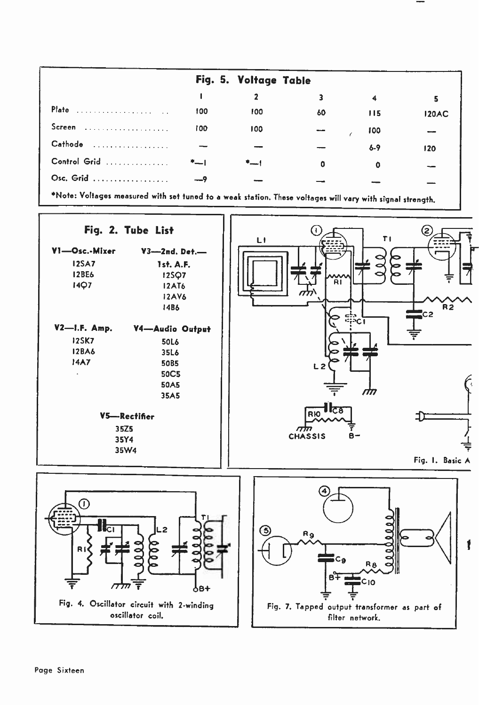|              |     | Fig. 5. Voltage Table |    |         |              |
|--------------|-----|-----------------------|----|---------|--------------|
|              |     |                       |    |         | 5            |
| Plate        | 100 | 100                   | 60 | 115     | <b>120AC</b> |
| Screen       | 100 | 100                   |    | 100     |              |
| Cathode<br>. |     |                       |    | $6 - 9$ | 120          |
| Control Grid | *-1 | $+$                   | 0  | ٥       |              |
| Osc. Grid    |     |                       |    |         |              |

Note: Voltages measured with set tuned to a weak station. These voltages will vary with signal strength.

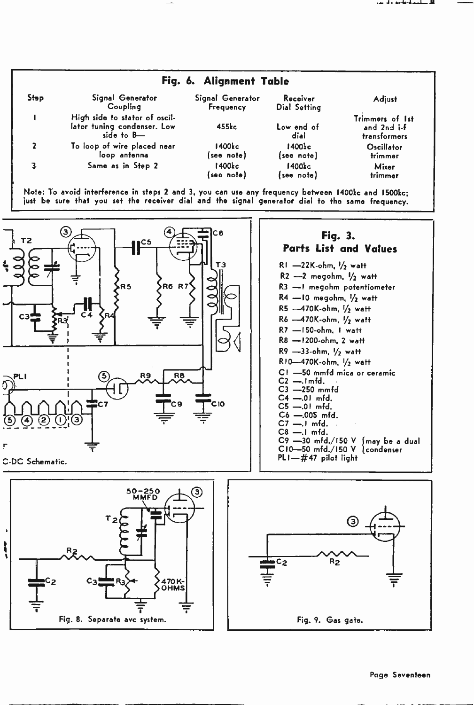

Note: To avoid interference in steps 2 and 3, you can use any frequency between 1400kc and 1500kc; just be sure that you set the receiver dial and the signal generator dial to the same frequency.



#### Page Seventeen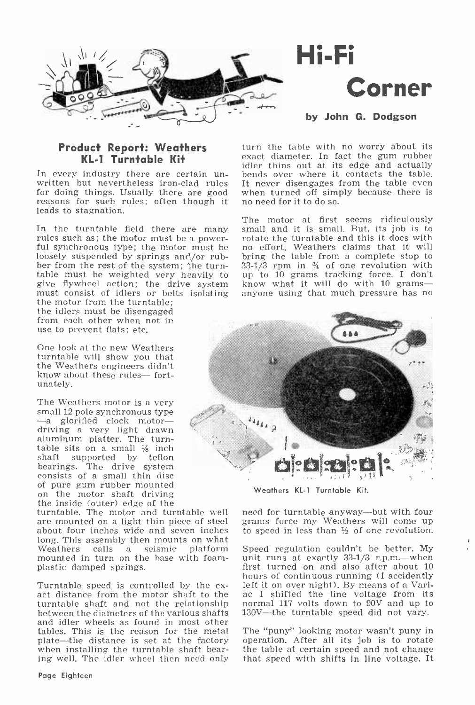

# Hi-Fi Corner

by John G. Dodgson

# Product Report: Weathers KL-1 Turntable Kit

for doing things. Usually there are good when turned off simples reasons for such rules; often though it no need for it to do so. reasons for such rules; often though it leads to stagnation.

In the turntable field there are many small and it is small. But, its job is to rules such as; the motor must be a power- rotate the turntable and this it does with ful synchronous type; the motor must be no effort. Weath loosely suspended by springs and,/or rubber from the rest of the system; the turntable must be weighted very heavily to give flywheel action; the drive system must consist of idlers or belts isolating the motor from the turntable; the idlers must be disengaged from each other when not in use to prevent flats; etc.

One look at the new Weathers turntable will show you that the Weathers engineers didn't know about these rules-fortunately.

The Weathers motor is a very<br>small 12 pole synchronous type<br>-- a glorified clock motordriving a very light drawn aluminum platter. The turntable sits on a small  $\frac{1}{8}$  inch shaft supported by teflon<br>bearings. The drive system consists of a small thin disc<br>of pure gum rubber mounted of pure gum rubber mounted on the motor shaft driving the inside (outer) edge of the turntable. The motor and turntable well

are mounted on a light thin piece of steel about four inches wide and seven inches long. This assembly then mounts on what<br>Weathers calls a seismic platform mounted in turn on the base with foam-<br>plastic damped springs.

turntable shaft and not the relationship between the diameters of the various shafts and idler wheels as found in most other tables. This is the reason for the metal plate—the distance is set at the factory when installing the turntable shaft bearing well. The idler wheel then need only that speed with shifts in line voltage. It

In every industry there are certain un-<br>where it contacts the table, written but nevertheless iron-clad rules It never disengages from the table even turn the table with no worry about its exact diameter. In fact the gum rubber idler thins out at its edge and actually bends over where it contacts the table. when turned off simply because there is

> The motor at first seems ridiculously small and it is small. But, its job is to rotate the turntable and this it does with bring the table from a complete stop to  $33-1/3$  rpm in  $\frac{9}{4}$  of one revolution with up to 10 grams tracking force. I don't know what it will do with  $10$  gramsanyone using that much pressure has no



Weathers KL-1 Turntable Kit.

need for turntable anyway-but with four grams force my Weathers will come up to speed in less than  $\frac{1}{2}$  of one revolution.

hours of continuous running (I accidently<br>Turntable speed is controlled by the ex- left it on over night). By means of a Vari-<br>act distance from the motor shaft to the ac I shifted the line voltage from its Speed regulation couldn't be better. My unit runs at exactly 33-1/3 r.p.m.—when first turned on and also after about 10 ac I shifted the line voltage from its normal 117 volts down to  $90\overline{V}$  and up to 130V-the turntable speed did not vary.

> The "puny" looking motor wasn't puny in operation. After all its job is to rotate the table at certain speed and not change.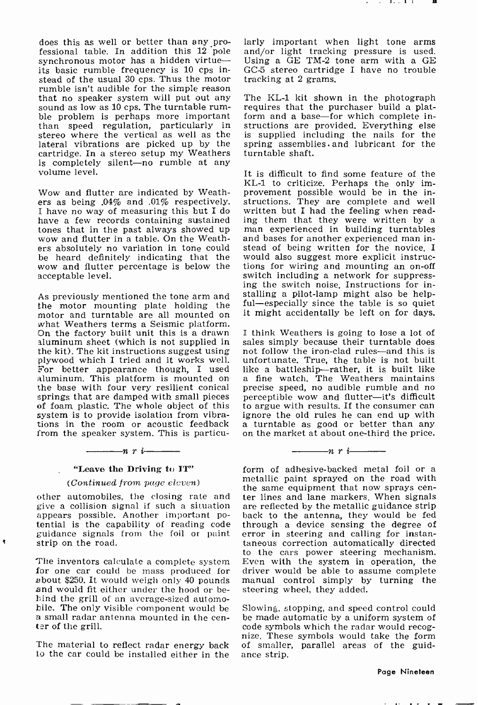does this as well or better than any professional table. In addition this 12 pole synchronous motor has a hidden virtueits basic rumble frequency is 10 cps instead of the usual 30 cps. Thus the motor<br>rumble isn't audible for the simple reason that no speaker system will put out any The KL-1 kit shown in the photograph sound as low as 10 cps. The turntable rum- requires that the purchaser build a platsound as low as 10 cps. The turntable rum-<br>
ble problem is perhaps more important for<br>
than speed regulation, particularly in str<br>
stereo where the vertical as well as the is lateral vibrations are picked up by the cartridge. In a stereo setup my Weathers is completely silent-no rumble at any volume level.

Wow and flutter are indicated by Weathers as being .04% and .01% respectively. I have no way of measuring this but I do have a few records containing sustained tones that in the past always showed up wow and flutter in a table. On the Weath-<br>ers absolutely no variation in tone could be heard definitely indicating that the wow and flutter percentage is below the acceptable level.

the motor mounting plate holding the  $\frac{ful}{dt}$ motor and turntable are all mounted on it.<br>what Weathers terms a Seismic platform.<br>On the factory built unit this is a drawn I t On the factory built unit this is a drawn<br>aluminum sheet (which is not supplied in the kit). The kit instructions suggest using not follow the iron-clad rules—and this is<br>plywood which I tried and it works well. unfortunate. True, the table is not built<br>For better appearance though, I used like a battles For better appearance though, I used aluminum. This platform is mounted on the base with four very resilient conical precise speed, no audible rumble and no springs that are damped with small pieces perceptible wow and flutter—it's difficult of foam plastic. The whole object of this to argue with results. If the consumer can system is to provide isolation from vibra-ignore the old rules he can end up with system is to provide isolation from vibrations in the room or acoustic feedback a turntable as good or better than any from the speaker system. This is particu- on the market at about one-third the price. from the speaker system. This is particu-<br> $\frac{n}{r}$   $\frac{n}{r}$   $\frac{n}{r}$ 

# "Leave the Driving to IT"

# (Continued from page eleven)

give a collision signal if such a situation are reflected by the metallic guidance strip appears possible. Another important po- back to the antenna, they would be fed tential is the capability of reading code guidance signals from the foil or paint strip on the road.

ł,

about \$250. It would weigh only 40 pounds and would fit either under the hood or behind the grill of an average-sized automo-<br>hile. The only visible component would be Bile. The small radar antenna mounted in the center of the grill.

The material to reflect radar energy back of smaller<br>to the car could be installed either in the ance strip. to the car could be installed either in the

larly important when light tone arms and/or light tracking pressure is used. Using a GE TM -2 tone arm with a GE GC -5 stereo cartridge I have no trouble tracking at 2 grams.

The KL -1 kit shows in the photograph requires that the purchaser instructions are provided. Everything else is supplied including the nails for the spring assemblies. and lubricant for the turntable shaft.

As previously mentioned the tone arm and stalling a pilot-lamp might also be help-It is difficult to find some feature of the KL -1 to criticize. Perhaps the only improvement possible would be in the instructions. They are complete and well written but I had the feeling when reading them that they were written by a man experienced in building turntables and bases for another experienced man instead of being written for the novice. I would also suggest more explicit instructions for wiring and mounting an on -off switch including a network for suppress- ing the switch noise. Instructions for inful—especially since the table is so quiet<br>it might accidentally be left on for days.

> I think Weathers is going to lose a lot of sales simply because their turntable does not follow the iron-clad rules-and this is unfortunate. True, the table is not built a fine watch. The Weathers maintains perceptible wow and flutter-it's difficult a turntable as good or better than any

> > $\frac{1}{\sqrt{1-\frac{1}{n}}}\left\vert \frac{1}{n}+1\right\vert$

(COMINUED TOM playe encorrection)<br>the same equipment that now sprays cen-<br>other automobiles, the closing rate and ter lines and lane markers. When signals The inventors calculate a complete system Even with the system in operation, the for one car could be mass produced for driver would be able to assume complete form of adhesive -backed metal foil or a metallic paint sprayed on the road with ter lines and lane markers. When signals are reflected by the metallic guidance strip through a device sensing the degree of error in steering and calling for instantaneous correction automatically directed to the cars power steering mechanism. Even with the system in operation, the manual control simply by turning the steering wheel, they added.

> Slowing, stopping, and speed control could be made automatic by a uniform system of<br>code symbols which the radar would recognize. These symbols would take the form of smaller, parallel areas of the guid-

#### Page Nineteen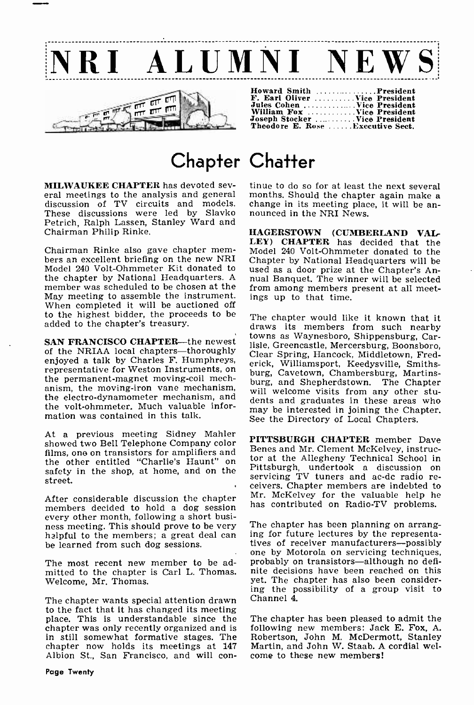



| Howard Smith President            |  |
|-----------------------------------|--|
| F. Earl Oliver  Vice President    |  |
| Jules Cohen  Vice President       |  |
| William Fox Vice President        |  |
| Joseph Stocker  Vice President    |  |
| Theodore E. Rose  Executive Sect. |  |

# Chapter Chatter

discussion of TV circuits and models. change in its meeting place These discussions were led by Slavko nounced in the NRI News. These discussions were led by Slavko Petrich, Ralph Lassen, Stanley Ward and Chairman Philip Rinke.

Chairman Rinke also gave chapter mem- bers an excellent briefing on the new NRI Model 240 Volt -Ohmmeter Kit donated to the chapter by National Headquarters. A member was scheduled to be chosen at the May meeting to assemble the instrument. When completed it will be auctioned off to the highest bidder, the proceeds to be added to the chapter's treasury.

SAN FRANCISCO CHAPTER—the newest<br>of the NRIAA local chapters—thoroughly enjoyed a talk by Charles F. Humphreys, representative for Weston Instruments, on the permanent-magnet moving-coil mechthe permanent-magnet moving-coil mech-<br>anism, the moving-iron vane mechanism, unil ureleans risity from any other than the electro -dynamometer mechanism, and the volt -ohmmeter. Much valuable information was contained in this talk.

At a previous meeting Sidney Mahler showed two Bell Telephone Company color films, one on transistors for amplifiers and the other entitled "Charlie's Haunt" on the Allegneny Technical School in safety in the shop, at home, and on the Pittsburgh, undertook a discussion on street.

After considerable discussion the chapter members decided to hold a dog session every other month, following a short busi-<br>ness meeting. This should prove to be very The chapter has been planning on arrang-<br>halpful to the members: a great deal can ing for future lectures by the representahalpful to the members; a great deal can be learned from such dog sessions.

The most recent new member to be admitted to the chapter is Carl L. Thomas. Welcome, Mr. Thomas.

The chapter wants special attention drawn to the fact that it has changed its meeting place. This is understandable since the chapter was only recently organized and is in still somewhat formative stages. The Robertson, John M. McDermott, Stanley chapter now holds its meetings at 147 Martin, and John W. Staab. A cordial welchapter now holds its meetings at 147 Martin, and John W. Staab. A<br>Albion St., San Francisco, and will con- come to these new members! Albion St., San Francisco, and will con-

**MILWAUKEE CHAPTER** has devoted sev-<br>eral meetings to the analysis and general months. Should the chapter again make a tinue to do so for at least the next several change in its meeting place, it will be an-

> HAGERSTOWN (CUMBERLAND VAL-LEY) CHAPTER has decided that the Model 240 Volt -Ohmmeter donated to the Chapter by National Headquarters will be used as a door prize at the Chapter's Annual Banquet. The winner will be selected from among members present at all meetings up to that time.

> The chapter would like it known that it draws its members from such nearby towns as Waynesboro, Shippensburg, Carlisle, Greencastle, Mercersburg, Boonsboro, Clear Spring, Hancock, Middletown, Frederick, Williamsport, Keedysville, Smiths-<br>burg, Cavetown, Chambersburg, Martinswill welcome visits from any other students and graduates in these areas who may be interested in joining the Chapter. See the Directory of Local Chapters.

> PITTSBURGH CHAPTER member Dave Benes and Mr. Clement McKelvey, instructor at the Allegheny Technical School in servicing TV tuners and ac-dc radio re-<br>ceivers. Chapter members are indebted to Mr. McKelvey for the valuable help he has contributed on Radio-TV problems.

> The chapter has been planning on arrang-<br>ing for future lectures by the representa-<br>tives of receiver manufacturers--possibly<br>one by Motorola on servicing techniques,<br>probably on transistors-although no definite decisions have been reached on this yet. The chapter has also been considering the possibility of a group visit to Channel 4.

> The chapter has been pleased to admit the following new members: Jack E. Fox, A. Robertson, John M. McDermott, Stanley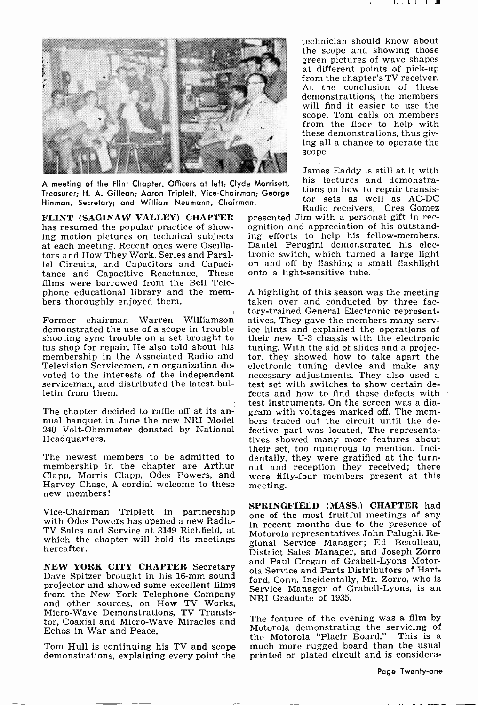

A meeting of the Hint Chapter. Officers at left: Clyde Morrisett, Treasurer; H. A. Gillean; Aaron Triplett, Vice -Chairman; George Hinman, Secretary; and William Neumann, Chairman.

has resumed the popular practice of showing motion pictures on technical subjects at each meeting. Recent ones were Oscillators and How They Work, Series and Parallel Circuits, and Capacitors and Capacitance and Capacitive Reactance. These films were borrowed from the Bell Telephone educational library and the mem- bers thoroughly enjoyed them.

demonstrated the use of a scope in trouble shooting sync trouble on a set brought to his shop for repair. He also told about his membership in the Associated Radio and Television Servicemen, an organization devoted to the interests of the independent necessary adjustments. They also used a serviceman, and distributed the latest bulletin from them.

The chapter decided to raffle off at its an-<br>nual banquet in June the new NRI Model bers traced out the circuit until the de-240 Volt-Ohmmeter donated by National – fective part was located. The representa-<br>Headquarters. tives showed many more features about Headquarters.

The newest members to be admitted to membership in the chapter are Arthur out and reception they received; there Clapp, Morris Clapp, Odes Powers, and Harvey Chase. A cordial welcome to these new members!

Vice -Chairman Triplett in partnership with Odes Powers has opened a new Radio-TV Sales and Service at 3149 Richfield, at which the chapter will hold its meetings hereafter.

NEW YORK CITY CHAPTER Secretary<br>Dave Spitzer brought in his 16-mm sound projector and showed some excellent films<br>from the New York Telephone Company from the New York Telephone Company<br>and other sources, on How TV Works, Micro -Wave Demonstrations, TV Transistor, Coaxial and Micro -Wave Miracles and Echos in War and Peace.

Tom Hull is continuing his TV and scope demonstrations, explaining every point the

technician should know about the scope and showing those green pictures of wave shapes<br>at different points of pick-up from the chapter's TV receiver. At the conclusion of these demonstrattions, the members will find it easier to use the scope. Tom calls on members from the floor to help with<br>these demonstrations, thus giving all a chance to operate the scope.

James Eaddy is still at it with his lectures and demonstrations on how to repair transistor sets as well as AC -DC Radio receivers. Cres Gomez

FLINT (SAGINAW VALLEY) CHAPTER presented Jim with a personal gift in rechass resumed the popular practice of show- ognition and appreciation of his outstandpresented Jim with a personal gift in recing efforts to help his fellow -members. Daniel Perugini demonstrated his electronic switch, which turned a large light on and off by flashing a small flashlight onto a light-sensitive tube.

former chairman Warren Williamson atives. They gave the members many serv-<br>Former chairman Warren Williamson atives. They gave the members many serv-<sup>A</sup>highlight of this season was the meeting taken over and conducted by three facice hints and explained the operations of their new U-3 chassis with the electronic tuning. With the aid of slides and a projector, they showed how to take apart the electronic tuning device and make any test set with switches to show certain defects and how to find these defects with test instruments. On the screen was a diagram with voltages marked off. The memfective part was located. The representatheir set, too numerous to mention. Incidentally, they were gratified at the turnwere fifty-four members present at this meeting.

> SPRINGFIELD (MASS.) CHAPTER had one of the most fruitful meetings of any in recent months due to the presence of Motorola representatives John Palughi, Regional Service Manager; Ed Beaulieau, District Sales Manager, and Joseph Zorro and Paul Cregan of Grabell-Lyons Motorola Service and Parts Distributors of Hartford, Conn. Incidentally, Mr. Zorro, who is Service Manager of Grabell-Lyons, is an

> The feature of the evening was a film by Motorola demonstrating the servicing of much more rugged board than the usual printed or plated circuit and is considera-

> > Page Twenty-one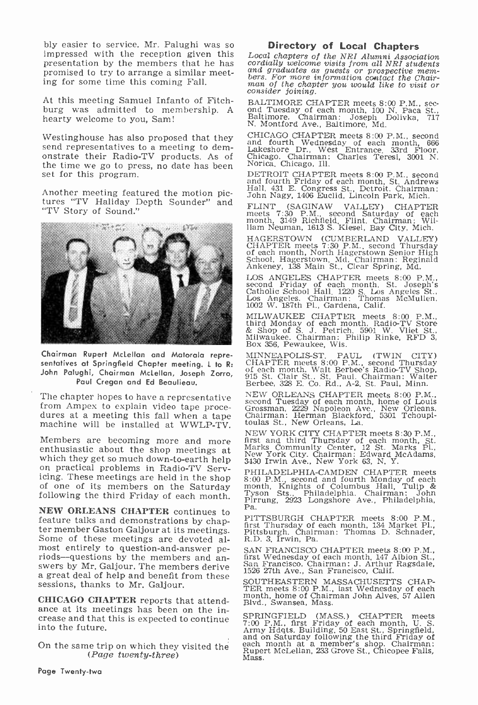bly easier to service. Mr. Palughi was so impressed with the reception given this presentation by the members that he has cordially welcome visits from all NRI students<br>promised to try to arrange a similar meet. and graduates as guests or prospective mem-<br>promised to try to arrange a similar meet. bers promised to try to arrange a similar meeting for some time this coming Fall.

At this meeting Samuel Infanto of Fitch-At this meeting Samuel Infanto of Fitch- BALTIMORE CHAPTER meets 8:00 P.M., sec-<br>burg was admitted to membership. A ond Tuesday of each month, 100 N. Paca St., hearty welcome to you, Sam!

Westinghouse has also proposed that they send representatives to a meeting to demonstrate their Radio-TV products. As of Chicago. Chairman:<br>the time we go to press no date has been Norica, Chicago, Ill. the time we go to press, no date has been set for this program.

Another meeting featured the motion pic-<br>tures "TV Haliday Depth Sounder" and FLINT "TV Story of Sound."



Chairman Rupert McLellan and Motorola representatives at Springfield Chapter meeting. L to R: John Palughi, Chairman McLellan, Joseph Zorro, Paul Cregan and Ed Beaulieau.

The chapter hopes to have a representative  $NEW$  ORLEANS CHAPTER meets 8:00 P.M<br>from Ampex to explain video tape proce-<br>dures at a meeting this fall when a tape Chairman: Herman Blackford, 5301 Tchoup;<br>machine will be insta

Members are becoming more and more enthusiastic about the shop meetings at which they get so much down-to-earth help<br>on practical problems in Radio-TV Serv-<br>icing. These meetings are held in the shop of one of its members on the Saturday following the third Friday of each month.

**NEW ORLEANS CHAPTER** continues to  $\begin{bmatrix} \text{Pa.} \\ \text{Feature talks and demonstrations by chap-} \\ \text{Ga} \end{bmatrix}$ fer member Gaston Galjour at its meetings.<br>Some of these meetings are devoted almost entirely to question-and-answer pe-<br>riods-questions by the members and an-<br>swers by Mr. Galjour. The members derive<br>a great deal of help and benefit from these sessions, thanks to Mr. Galjour.

CHICAGO CHAPTER reports that attend- ance at its meetings has been on the increase and that this is expected to continue into the future.

On the same trip on which they visited the  $(Page\ twenty-three)$ 

**Directory of Local Chapters**<br>Local chapters of the NRI Alumni Association<br>cordially welcome visits from all NRI students<br>and graduates as guests or prospective mem-<br>bers. For more information contact the Chair-<br>man of the

ond Tuesday of each month, 100 N. Paca St., Baltimore. Chairman: Joseph Dolivka, 717 N. Montford Ave., Baltimore, Md.<br>CHICAGO CHAPTER meets 8:00 P.M., second

and fourth Wednesday of each month, 666 Lakeshore Dr., West Entrance, 33rd Floor, Chicago. Chairman: Charles Teresi, 3001 N.

DETROIT CHAPTER meets 8:00 P.M.. second and fourth Friday of each month, St. Andrews Hall, 431 E. Congress St., Detroit. Chairman: John Nagy, 1406 Euclid, Lincoln Park, Mich.

FLINT (SAGINAW VALLEY) CHAPTER meets 7:30 P.M., second Saturday of each month, 3149 Richfield, Flint. Chairman: Wil-liam Neuman, 1613 S. Kiesel, Bay City, Mich.

HAGERSTOWN (CUMBERLAND VALLEY)<br>CHAPTER meets 7:30 P.M.. second Thursday<br>of each month, North Hagerstown Senior High<br>School, Hagerstown, Md. Chairman: Reginald<br>Ankeney, 138 Main St., Clear Spring, Md.

LOS ANGELES CHAPTER meets 8:00 P.M., second Friday of each month, St. Joseph's Catholic School Hall, 1220 S. Los Angeles St., Los Angeles. Chairman: Thomas McMullen, Los Angeles. Chairman: Thoma<br>1002 W. 187th Pl., Gardena, Calif.

MILWAUKEE CHAPTER meets 8:00 P.M., third Monday of each month. Radio-TV Store & Shop of S. J. Petrich, 5901 W. Vliet St., Milwaukee. Chairman: Philip Rinke, RFD 3, Box 356, Pewaukee, Wis.

MINNEAPOLIS-ST. PAUL (TWIN CITY)<br>CHAPTER meets 8:00 P.M., second Thursday<br>of each month. Walt Berbee's Radio-TV Shop,<br>915 St. Clair St., St. Paul. Chairman: Walter<br>Berbee, 328 E. Co. Rd., A-2, St. Paul, Minn.

NEW ORLEANS CHAPTER meets 8:00 P.M., second Tuesday of each month, home of Louis Grossman, 2229 Napoleon Ave., New Orleans. Chairman: Herman Blackford, 5301 Tchoupi- toulas St., New Orleans, La.

NEW YORK CITY CHAPTER meets 8:30 P.M.,<br>first and third Thursday of each month, St.<br>Marks Community Center, 12 St. Marks Pl.,<br>New York City. Chairman: Edward McAdams,<br>3430 Irwin Ave., New York 63, N. Y.

PHILADELPHIA-CAMDEN CHAPTER meets<br>8:00 P.M., second and fourth Monday of each<br>month, Knights of Columbus Hall, Tulip &<br>Tyson Sts., Philadelphia. Chairman: John<br>Pirrung, 2923 Longshore Ave., Philadelphia,<br>Pa.

PITTSBURGH CHAPTER meets 8:00 P.M., first Thursday of each month, 134 Market Pl., Pittsburgh. Chairman: Thomas D. Schnader, R.D. 3, Irwin, Pa.

SAN FRANCISCO CHAPTER meets 8:00 P.M., first Wednesday of each month, 147 Albion St., San Francisco. Chairman: J. Arthur Ragsdale, 1526 27th Ave., San Francisco, Calif.

SOUTHEASTERN MASSACHUSETTS CHAP-<br>TER meets 8:00 P.M., last Wednesday of each<br>month, home of Chairman John Alves, 57 Allen<br>Blvd., Swansea, Mass.

SPRINGFIELD (MASS.) CHAPTER meets<br>7:00 P.M., first Friday of each month, U. S.<br>Army Hdqts. Building. 50 East St., Springfield,<br>and on Saturday following the third Friday of<br>each month at a member's shop. Chairman:<br>Rupert M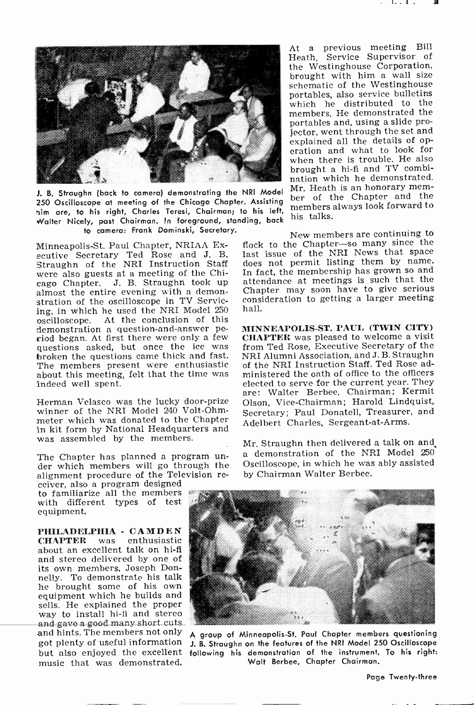

250 Oscilloscope at meeting of the Chicago Chapter. Assisting nim are, to his right, Charles Teresi, Chairman; to his left, Walter Nicely, past Chairman. In foreground, standing, back to camera: Frank Dominski, Secretary.

Minneapolis -St. Paul Chapter, NRIAA Executive Secretary Ted Rose and J. B. Straughn of the NRI Instruction Staff were also guests at a meeting of the Chiwere also guests at a meeting of the Chi-<br>cago Chapter. J. B. Straughn took up attendance at meetings is such that the almost the entire evening with a demonstration of the oscilloscope in TV Servicing, in which he used the NRI Model 250 At the conclusion of this demonstration a question -and -answer period began. At first there were only a few questions asked, but once the ice was broken the questions came thick and fast. The members present were enthusiastic about this meeting, felt that the time was indeed well spent.

Herman Velasco was the lucky door-prize winner of the NRI Model 240 Volt-Ohmmeter which was donated to the Chapter in kit form by National Headquarters and was assembled by the members.

The Chapter has planned a program un-<br>der which members will go through the

alignment procedure of the Television receiver, also a program designed<br>to familiarize all the members with different types of test equipment.

PHILADELPHIA - CAMDEN<br>CHAPTER was enthusiastic CHAPTER was enthusiastic about an excellent talk on hi-fl and stereo delivered by one of its own members, Joseph Donnelly. To demonstrate his talk he brought some of his own equipment which he builds and sells. He explained the proper way to install hi-fi and stereo and gave a good many short cuts and hints. The members not only got plenty of useful information music that was demonstrated.

J. B. Straughn (back to camera) demonstrating the NRI Model Mr. Heath is an honorary mem-At a previous meeting Bill Heath, Service Supervisor of the Westinghouse Corporation, brought with him a wall size<br>schematic of the Westinghouse portables, also service bulletins which he distributed to the members. He demonstrated the portables and, using a slide projector, went through the set and explained all the details of operation and what to look for when there is trouble. He also brought a hi-fi and TV combination which he demonstrated. ber of the Chapter and the members always look forward to his talks.

> New members are continuing to flock to the Chapter-so many since the last issue of the NRI News that space does not permit listing them by name. In fact, the membership has grown so and attendance at meetings is such that the Chapter may soon have to give serious consideration to getting a larger meeting hall.

MINNEAPOLIS -ST. PAUL (TWIN CITY) CHAPTER was pleased to welcome a visit from Ted Rose, Executive Secretary of the NRI Alumni Association, and J. B. Straughn of the NRI Instruction Staff. Ted Rose administered the oath of office to the officers elected to serve for the current year. They are: Walter Berbee, Chairman; Kermit Olson, Vice -Chairman; Harold Lindquist, Secretary; Paul Donatell, Treasurer, and Adelbert Charles, Sergeant-at-Arms.

Mr. Straughn then delivered a talk on and a demonstration of the NRI Model 250 Oscilloscope, in which he was ably assisted by Chairman Walter Berbee.



but also enjoyed the excellent following his demonstration of the instrument. To his right: A group of Minneapolis -St. Paul Chapter members questioning J. B. Straughn on the features of the NRI Model 250 Oscilloscope Walt Berbee, Chapter Chairman.

Page Twenty-three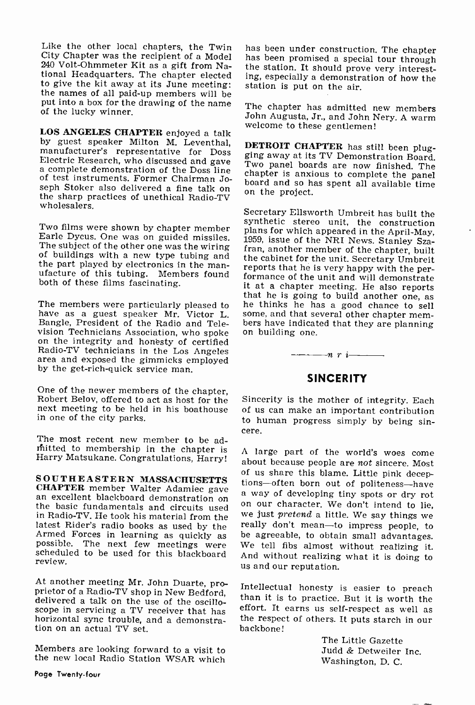Like the other local chapters, the Twin has been under construction. The chapter City Chapter was the recipient of a Model has been promised a special tour through City Chapter was the recipient of a Model 240 Volt -Ohmmeter Kit as a gift from National Headquarters. The chapter elected ing, especially a demonstrient to give the kit away at its June meeting: station is put on the air. the names of all paid-up members will be put into a box for the drawing of the name The chapter has admitted new members of the lucky winner.

LOS ANGELES CHAPTER enjoyed a talk<br>by guest speaker Milton M. Leventhal, **DETROIT CHAPTER** has still been plugmanufacturer's representative for Doss Electric Research, who discussed and gave  $\frac{B_{11}}{100}$  panel boards are now finished. The a complete demonstration of the Doss line of test instruments. Former Chairman Joor test mistruments, normer Chairman Ju-<br>seph Stoker also delivered a fine talk on the sharp project.<br>the sharp practices of unethical Radio-TV wholesalers.

Earle Dycus. One was on guided missiles. The subject of the other one was the wiring fran, another member of the chapter, built<br>of buildings with a new type tubing and the cabinet for the unit. Secretary Umbreit<br>the part played by electronics in the manufacture of this tubing. Members found formance of the unit and will demonstrate both of these films fascinating.

have as a guest speaker Mr. Victor L. Bangle, President of the Radio and Television Technicians Association, who spoke on the integrity and honesty of certified Radio-TV technicians in the Los Angeles area and exposed the gimmicks employed by the get -rich -quick service man.

One of the newer members of the chapter, Robert Belov, offered to act as host for the next meeting to be held in his boathouse in one of the city parks.

The most recent new member to be ad-<br>mitted to membership in the chapter is A large part of the world's woes come<br>Harry Matsukane. Congratulations, Harry! about because people are not sincere. Most

CHAPTER member water adamnet gave a way of developing tiny spots or dry rot<br>the basic fundamentals and circuits used on our character. We don't intend to lie,<br>in Radio-TV. He took his material from the we just pretend a li latest Rider's radio books as used by the Armed Forces in learning as quickly as possible. The next few meetings were scheduled to be used for this blackboard review.

At another meeting Mr. John Duarte, pro-<br>prietor of a Radio-TV shop in New Bedford,<br>delivered a talk on the use of the oscilloscope in servicing a TV receiver that has horizontal sync trouble, and a demonstration on an actual TV set.

Members are looking forward to a visit to the new local Radio Station WSAR which

the station. It should prove very interesting, especially a demonstration of how the

John Augusta, Jr., and John Nery. A warm

ging away at its TV Demonstration Board. chapter is anxious to complete the panel

Two films were shown by chapter member plans for which appeared in the April-May, that he is going to build another one, as<br>The members were particularly pleased to the thinks he has a good chance to sell<br>have as a guest speaker Mr. Victor L. some, and that several other chapter mem-Secretary Ellsworth Umbreit has built the synthetic stereo unit, the construction 1959, issue of the NRI News. Stanley Szareports that he is very happy with the per-<br>formance of the unit and will demonstrate<br>it at a chapter meeting. He also reports he thinks he has a good chance to sell bers have indicated that they are planning<br>on building one.<br> $\frac{n!}{2!}$   $\frac{n!}{2!}$ 

# **SINCERITY**

Sincerity is the mother of integrity. Each of us can make an important contribution to human progress simply by being sin- cere.

SOUTHEASTERN MASSACHUSETTS<br>CHAPTER member Walter Adamiec gave a mean of development of politicial scheme of development of politicial scheme of development of politicial scheme of development of the contract of development A large part of the world's woes come really don't mean-to impress people, to be agreeable, to obtain small advantages. We tell fibs almost without realizing it. And without realizing what it is doing to us and our reputation.

> Intellectual honesty is easier to preach than it is to practice. But it is worth the effort. It earns us self-respect as well as the respect of others. 'It puts starch in our backbone!

> > The Little Gazette Judd & Detweiler Inc. Washington, D. C.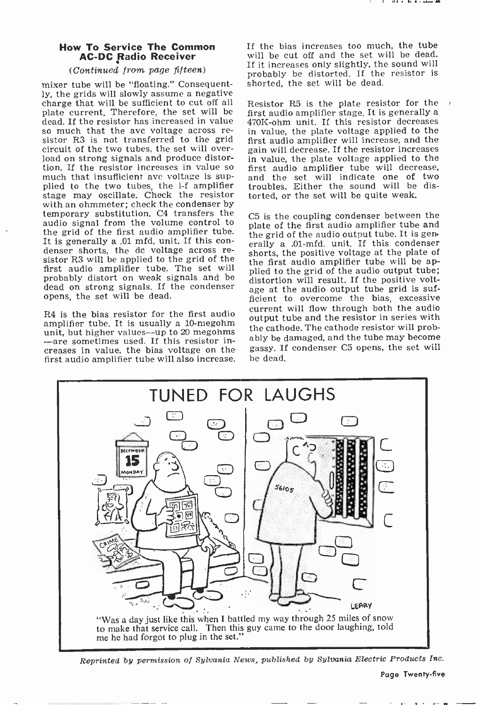# Now To Service The Common AC -DC Radio Receiver

# (Continued from page fifteen)

mixer tube will be "floating." Consequent-<br>ly, the grids will slowly assume a negative charge that will be sufficient to cut off all Resistor R5 is the plate resistor for the plate current. Therefore, the set will be first audio amplifier stage. It is generally a plate current. Therefore, the set will be dead. If the resistor has increased in value so much that the avc voltage across re-<br>sistor R3 is not transferred to the grid circuit of the two tubes, the set will over- load on strong signals and produce distortion. If the resistor increases in value so much that insufficient avc voltage is supplied to the two tubes, the i-f amplifier stage may oscillate. Check the resistor with an ohmmeter; check the condenser by temporary substitution. C4 transfers the audio signal from the volume control to the grid of the first audio amplifier tube.<br>It is generally a .01 mfd. unit. If this condenser shorts, the dc voltage across resistor R3 will be applied to the grid of the first audio amplifier tube. The set will probably distort on weak signals and be dead on strong signals. If the condenser opens, the set will be dead.

R4 is the bias resistor for the first audio amplifier tube. It is usually a 10-megohm unit, but higher values--up to 20 megohms -are sometimes used. If this resistor increases in value, the bias voltage on the first audio amplifier tube will also increase. If the bias increases too much, the tube will be cut off and the set will be dead. If it increases only slightly, the sound will probably be distorted. If the resistor is shorted, the set will be dead.

470K-ohm unit. If this resistor decreases in value, the plate voltage applied to the first audio amplifier will increase, and the gain will decrease. If the resistor increases in value, the plate voltage applied to the first audio amplifier tube will decrease, and the set will indicate one of two troubles. Either the sound will be distorted, or the set will be quite weak.

C5 is the coupling condenser between the plate of the first audio amplifier tube and the grid of the audio output tube. It is generally a .01-mfd. unit. If this condenser shorts, the positive voltage at the plate of the first audio amplifier tube will be applied to the grid of the audio output tube; distortion will result. If the positive voltage at the audio output tube grid is sufficient to overcome the bias, excessive current will flow through both the audio output tube and the resistor in series with the cathode. The cathode resistor will probably be damaged, and the tube may become gassy. If condenser C5 opens, the set will be dead.



Reprinted by permission of Sylvania News, published by Sylvania Electric Products Inc.

Page Twenty-five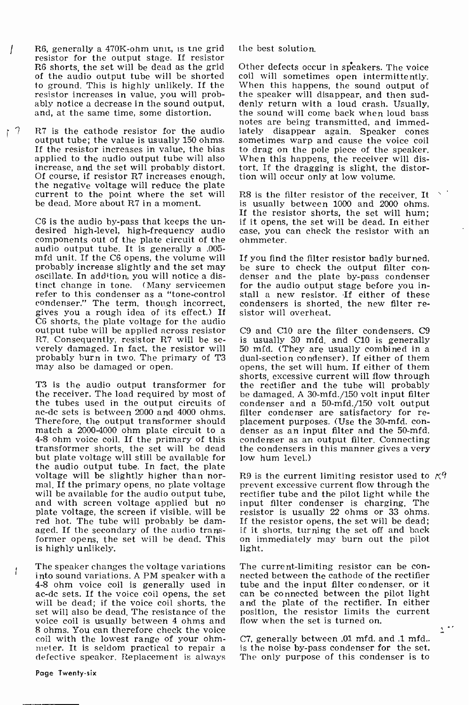- R6, generally a 470K -ohm unit, is the grid resistor for the output stage. If resistor  $\prime$ R6 shorts, the set will be dead as the grid of the audio output tube will be shorted coil will sometimes open intermittently.<br>to ground. This is highly unlikely. If the When this happens, the sound output of to ground. This is highly unlikely. If the resistor increases in value, you will prob-<br>ably notice a decrease in the sound output,<br>and, at the same time, some distortion.
- $17$ R7 is the cathode resistor for the audio iately disappear again. Speaker cones output tube; the value is usually 150 ohms. sometimes warp and cause the voice coil output tube; the value is usually 150 ohms. If the resistor increases in value, the bias to drag on the pole piece of the speaker, applied to the audio output tube will also When this happens, the receiver will disapplied to the audio output tube will also increase, and the set will probably distort. Of course, if resistor R7 increases enough, the negative voltage will reduce the plate current to the point where the set will be dead. More about R7 in a moment.

C6 is the audio by-pass that keeps the un- if i<br>desired high-level, high-frequency audio cas components out of the plate circuit of the audio output tube. It is generally a .005 mfd unit. If the C6 opens, the volume will probably increase slightly and the set may oscillate. In addition, you will notice a distinct change in tone. (Many servicemen refer to this condenser as a "tone -control condenser." The term, though incorrect, condensers is shorten gives you a rough idea of its effect.) If sistor will overheat. gives you a rough idea of its effect.) If C6 shorts, the plate voltage for the audio output tube will be applied across resistor R7. Consequently, resistor R7 will be se- is usually 30 mfd, and C10 is generally verely damaged. In fact, the resistor will 50 mfd. (They are usually combined in a probably burn in two. The primary of T3 may also be damaged or open.

the receiver. The load required by most of be damaged. A 30-mfd./150 volt input filter the tubes used in the output circuits of condenser and a 50-mfd./150 volt output the tubes used in the output circuits of condenser and a 50-mfd./150 volt output ac-dc sets is between 2000 and 4000 ohms. filter condenser are satisfactory for re-Therefore, the output transformer should placement purposes. (Use the 30-mfd. con-<br>match a 2000-4000 ohm plate circuit to a denser as an input filter and the 50-mfd. match a 2000-4000 ohm plate circuit to a denser as an input filter and the 50-mfd.<br>4-8 ohm voice coil. If the primary of this condenser as an output filter. Connecting<br>transformer shorts, the set will be dead the condenser transformer shorts, the set will be dead but plate voltage will still be available for the audio output tube. In fact, the plate voltage will be slightly higher than nor-<br>mal. If the primary opens, no plate voltage<br>will be available for the audio output tube,<br>and with screen voltage applied but no plate voltage, the screen if visible, will be red hot. The tube will probably be damaged. If the secondary of the audio transaged. If the secondary of the audio trans-if it shorts, turning the set off and back<br>former opens, the set will be dead. This on immediately may burn out the pilot<br>is highly unlikely.<br>light. is highly unlikely.

The speaker changes the voltage variations The current-limiting resistor can be con-<br>into sound variations. A PM speaker with a nected between the cathode of the rectifier 4-8 ohm voice coil is generally used in tube and the input filter condenser, or it ac-dc sets. If the voice coil opens, the set can be connected between the pilot light will be dead; if the voice coil shorts, the set will also be dead. The resistance of the voice coil is usually between 4 ohms and 8 ohms. You can therefore check the voice coil with the lowest range of your ohm-<br>meter. It is seldom practical to repair a defective speaker. Replacement is always

the best solution.

Other defects occur in speakers. The voice coil will sometimes open intermittently. the speaker will disappear, and then suddenly return with a loud crash. Usually, the sound will come back when loud bass notes are being transmitted, and immediately disappear again. Speaker cones to drag on the pole piece of the speaker. tort. If the dragging is slight, the distortion will occur only at low volume.

R8 is the filter resistor of the receiver. It is usually between 1000 and 2000 ohms. If the resistor shorts, the set will hum; if it opens, the set will be dead. In either case, you can check the resistor with an ohmmeter.

If you find the filter resistor badly burned, be sure to check the output filter con- denser and the plate by-pass condenser for the audio output stage before you install a new resistor. If either of these condensers is shorted, the new filter re-

shorts, excessive current will flow through<br>T3 is the audio output transformer for the rectifier and the tube will probably C9 and C10 are the filter condensers. C9 is usually 30 mfd. and C10 is generally dual-section condenser). If either of them opens, the set will hum. If either of them shorts, excessive current will flow through the rectifier and the tube will probably be damaged. A 30-mfd./150 volt input filter placement purposes. (Use the 30-mfd. concondenser as an output filter. Connecting low hum level.)

> R9 is the current limiting resistor used to  $\beta$ prevent excessive current flow through the rectifier tube and the pilot light while the input filter condenser is charging. The resistor is usually 22 ohms or 33 ohms. If the resistor opens, the set will be dead; on immediately may burn out the pilot

nected between the cathode of the rectifier and the plate of the rectifier. In either position, the resistor limits the current flow when the set is turned on.

C7, generally between .01 mfd. and .1 mfd.. is the noise by-pass condenser for the set. The only purpose of this condenser is to

f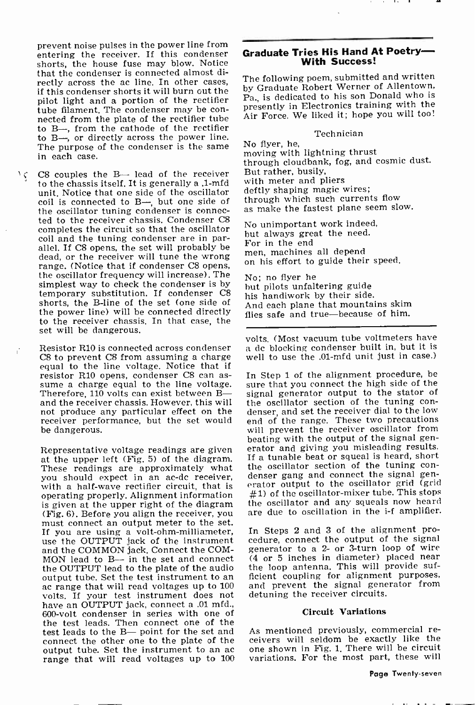prevent noise pulses in the power line from entering the receiver. If this condenser shorts, the house fuse may blow. Notice that the condenser is connected almost directly across the ac line. In other cases, if this condenser shorts it will burn out the pilot light and a portion of the rectifier tube filament. The condenser may be con- nected from the plate of the rectifier tube to B-, from the cathode of the rectifier to B-, or directly across the power line. The purpose of the condenser is the same in each case.

 $C8$  couples the B- lead of the receiver But rather, busily,  $\sqrt{C}$ to the chassis itself. It is generally a .1-mfd unit. Notice that one side of the oscillator coil is connected to B—, but one side of through which such currents flow<br>the oscillator tuning condenser is connec- as make the fastest plane seem slow. ted to the receiver chassis. Condenser C8 completes the circuit so that the oscillator coil and the tuning condenser are in parallel. If C8 opens, the set will probably be  $\frac{1}{2}$  for in the end all depend dead, or the receiver will tune the wrong range. (Notice that if condenser C8 opens, the oscillator frequency will increase). The simplest way to check the condenser is by temporary substitution. If condenser C8 shorts, the B-line of the set (one side of the power line) will be connected directly to the receiver chassis. In that case, the set will be dangerous.

Resistor R10 is connected across condenser C8 to prevent C8 from assuming a charge equal to the line voltage. Notice that if resistor R10 opens, condenser C8 can assume a charge equal to the line voltage.<br>Therefore, 110 volts can exist between Band the receiver chassis. However, this will the oscillator section of the tuning connot produce any particular effect on the receiver performance, but the set would be dangerous.

Representative voltage readings are given at the upper left (Fig. 5) of the diagram. If a tunable beat or squeal is heard, short<br>These readings are approximately what the oscillator section of the tuning con-<br>you should expect in an ac-de receiver. denser gang and you should expect in an ac-dc receiver, denser gang and connect the signal gen-<br>with a half-wave rectifier circuit, that is serator output to the oscillator grid (grid with a half-wave rectifier circuit, that is operating properly. Alignment information is given at the upper right of the diagram (Fig. 6). Before you align the receiver, you must connect an output meter to the set. If you are using a volt-ohm-milliameter, In<br>use the OUTPUT jack of the instrument ced and the COMMON jack. Connect the COM-MON lead to  $B \rightarrow$  in the set and connect the OUTPUT lead to the plate of the audio ac range that will read voltages up to 100 volts. If your test instrument does not have an OUTPUT jack, connect a .01 mfd., 600 -volt condenser in series with one of the test leads. Then connect one of the<br>test leads to the B— point for the set and — As mentioned previously, commercial retest leads to the B- point for the set and connect the other one to the plate of the range that will read voltages up to 100

# Graduate Tries His Hand At Poetry-

The following poem, submitted and written by Graduate Robert Werner of Allentown, Pa., is dedicated to his son Donald who is presently in Electronics training with the Air Force. We liked it; hope you will too!

### Technician

No flyer, he, moving with lightning thrust through cloudbank, fog, and cosmic dust. with meter and pliers deftly shaping magic wires; through which such currents flow

No unimportant work indeed, but always great the need. For in the end on his effort to guide their speed.

No; no flyer he but pilots unfaltering guide his handiwork by their side. And each plane that mountains skim flies safe and true-because of him.

volts. (Most vacuum tube voltmeters have a dc blocking condenser built in, but it is well to use the .01-mfd unit just in case.)

In Step 1 of the alignment procedure, be sure that you connect the high side of the signal generator output to the stator of denser, and set the receiver dial to the low end of the range. These two precautions will prevent the receiver oscillator from beating with the output of the signal generator and giving you misleading results. If a tunable beat or squeal is heard, short the oscillator section of the tuning con- $#1$ ) of the oscillator-mixer tube. This stops the oscillator and any squeals now heard are due to oscillation in the i-f amplifier.

In Steps 2 and 3 of the alignment procedure, connect the output of the signal generator to a 2- or 3-turn loop of wire (4 or 5 inches in diameter) placed near the loop antenna. This will provide sufficient coupling for alignment purposes, and prevent the signal generator from detuning the receiver circuits.

### Circuit Variations

ceivers will seldom be exactly like the one shown in Fig. 1. There will be circuit variations. For the most part, these will

# Page Twenty-seven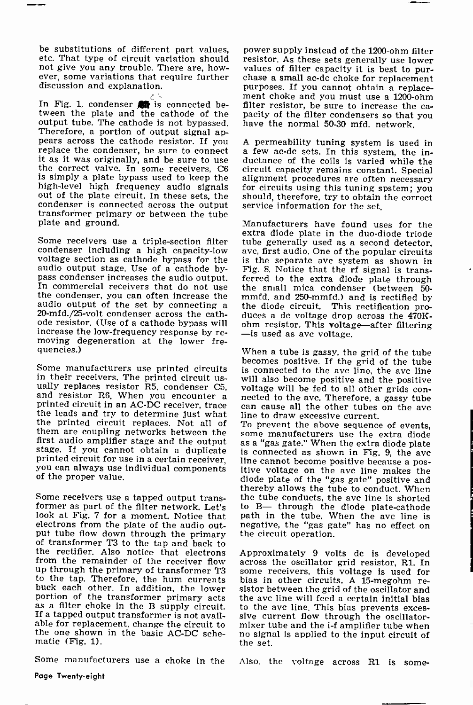be substitutions of different part values, power supply instead of the 1200-ohm filter etc. That type of circuit variation should not give you any trouble. There are, however, some variations that require further chase a small ac-dc choke for replacement discussion and explanation.

In Fig. 1, condenser  $#$  is connected be-In Fig. 1, condenser **the** is connected be-<br>tween the plate and the cathode of the pacity of the filter condensers so that you<br>output tube. The cathode is not bypassed. have the normal 50-30 mfd. network. Therefore, a portion of output signal appears across the cathode resistor. If you A permeability tuning system is used in replace the condenser, be sure to connect a few ac-dc sets. In this system, the in-<br>it as it was originally, and be sure to use ductance of the correct valve. In some receivers, C6 circuit capacity remains constant. Special<br>is simply a plate bypass used to keep the alignment procedures are often necessary is simply a plate bypass used to keep the alignment procedures are often necessary<br>high-level high frequency audio signals for circuits using this tuning spstem; you high-level high frequency audio signals out of the plate circuit. In these sets, the condenser is connected across the output transformer primary or between the tube plate and ground.

Some receivers use a triple -section filter condenser including a high capacity -low voltage section as cathode bypass for the audio output stage. Use of a cathode by-In commercial receivers that do not use the small mica condenser (between 50-<br>the condenser, you can often increase the mmfd, and 250-mmfd.) and is rectified by audio output of the set by connecting a 20-mfd./25-volt condenser across the cath-20-mfd./25-volt condenser across the cath- duces a dc voltage drop across the 470K-<br>ode resistor. (Use of a cathode bypass will - ohm resistor. This voltage—after filtering increase the low -frequency response by re- moving degeneration at the lower frequencies.)

Some manufacturers use printed circuits is connected to the ave line, the ave line<br>in their receivers. The printed circuit us-<br>will also become positive and the positive ually replaces resistor R5, condenser C5, voltage will be fed to all other grids con-<br>and resistor R6, When you encounter a mected to the avc. Therefore, a gassy tube<br>printed circuit in an AC-DC receiver, trace can cause a them are coupling networks between the first audio amplifier stage and the output as a "gas gate." When the extra diode plate stage. If you cannot obtain a duplicate is connected as shown in Fig. 9, the ave printed circuit for use in a certain receiver, line ca you can always use individual components of the proper value.

Some receivers use a tapped output trans- former as part of the filter network. Let's look at Fig. 7 for a moment. Notice that electrons from the plate of the audio output tube flow down through the primary the circuit operation.<br>
of transformer T3 to the tap and back to<br>
the rectifier. Also notice that electrons Approximately 9 volts dc is developed<br>
from the remainder of the receiver f from the remainder of the receiver flow up through the primary of transformer T3 buck each other. In addition, the lower<br>portion of the transformer primary acts<br>as a filter choke in the B supply circuit.<br>If a tapped output transformer is not available for replacement, change the circuit to the one shown in the basic AC -DC sche- matic (Fig. 1).

Some manufacturers use a choke in the

resistor. As these sets generally use lower values of filter capacity it is best to purpurposes. If you cannot obtain a replace- ment choke and you must use a 1200 -ohm pacity of the filter condensers so that you

A permeability tuning system is used in should, therefore, try to obtain the correct service information for the set.

Manufacturers have found uses for the extra diode plate in the duo -diode triode tube generally used as a second detector, avc, first audio. One of the popular circuits is the separate avc system as shown in Fig. S. Notice that the rf signal is transferred to the extra diode plate through the diode circuit. This rectification pro-<br>duces a dc voltage drop across the 470K-<br>ohm resistor. This voltage—after filtering<br>- is used as avc voltage.

When a tube is gassy, the grid of the tube becomes positive. If the grid of the tube is connected to the avc line, the avc line nected to the avc. Therefore, a gassy tube

some manufacturers use the extra diode is connected as shown in Fig. 9, the ave line cannot become positive because a pos- itive voltage on the ave line makes the diode plate of the "gas gate" positive and thereby allows the tube to conduct. When the tube conducts, the avc line is shorted to B- through the diode plate-cathode path in the tube. When the ave line is negative, the "gas gate" has no effect on

some receivers, this voltage is used for<br>bias in other circuits, A 15-megohm resistor between the grid of the oscillator and the avc line will feed a certain initial bias<br>to the avc line. This bias prevents excessive current flow through the oscillator-<br>mixer tube and the i-f amplifier tube when<br>no signal is applied to the input circuit of the set.

Also, the voltage across R1 is some-

Page Twenty-eight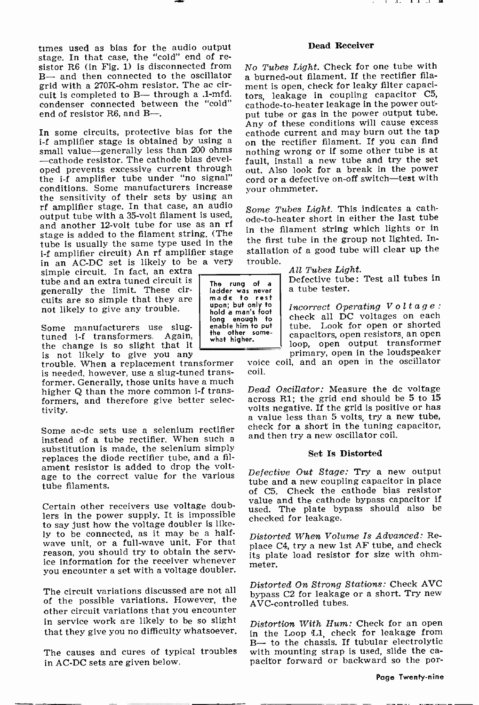times used as bias for the audio output stage. In that case, the "cold" end of re-<br>sistor R6 (in Fig. 1) is disconnected from No Tubes Light. Check for one tube with B- and then connected to the oscillator grid with a 270K -ohm resistor. The ac circuit is completed to B- through a .1-mfd. condenser connected between the "cold" end of resistor R6, and B-.

small value-generally less than 200 ohms -cathode resistor. The cathode bias developed prevents excessive current through the i-f amplifier tube under "no signal" conditions. Some manufacturers increase rf amplifier stage. In that case, an audio output tube with a 35 -volt filament is used, and another 12-volt tube for use as an rf stage is added to the filament string. (The tube is usually the same type used in the <sup>i</sup>-f amplifier circuit) An rf amplifier stage in an AC -DC set is likely to be a very

simple circuit. In fact, an extra tube and an extra tuned circuit is generally the limit. These circuits are so simple that they are not likely to give any trouble.

Some manufacturers use slug-<br>tuned i-f transformers. Again, the change is so slight that it is not likely to give you any

trouble. When a replacement transformer is needed, however, use a slug-tuned transformer. Generally, those units have a much higher Q than the more common i-f transformers, and therefore give better selectivity.

Some ac-dc sets use a selenium rectifier<br>instead of a tube rectifier. When such a substitution is made, the selenium simply replaces the diode rectifier tube, and a filament resistor is added to drop the voltage to the correct value for the various tube filaments.

Certain other receivers use voltage doublers in the power supply. It is impossible to say just how the voltage doubler is like-<br>ly to be connected, as it may be a halfwave unit, or a full-wave unit. For that<br>reason, you should try to obtain the service information for the receiver whenever you encounter a set with a voltage doubler.

The circuit variations discussed are not all of the possible variations. However, the  $_{\rm AVC-controlled$  tubes. other circuit variations that you encounter in service work are likely to be so slight that they give you no difficulty whatsoever.

The causes and cures of typical troubles with mounting strap is used, slide the ca-<br>in AC-DC sets are given below sacitor forward or backward so the porin AC -DC sets are given below.

# Dead Receiver

. . . . .

In some circuits, protective bias for the approach these conditions will cause excess<br>i-f amplifier stage is obtained by using a on the rectifier filament. If you can find a burned-out filament. If the rectifier filament is open, check for leaky filter capacitors, leakage in coupling capacitor C5, cathode -to -heater leakage in the power output tube or gas in the power output tube. on the rectifier filament. If you can find nothing wrong or if some other tube is at fault, install a new tube and try the set out. Also look for a break in the power cord or a defective on-off switch-test with your ohmmeter.

> Some Tubes Light. This indicates a cathode -to -heater short in either the last tube in the filament string which lights or in the first tube in the group not lighted. Installation of a good tube will clear up the trouble.

> > All Tubes Light.

Defective tube: Test all tubes in a tube tester.

Incorrect Operating Voltage: check all DC voltages on each tube. Look for open or shorted capacitors, open resistors, an open loop, open output trasformer primary, open in the loudspeaker

voice coil, and an open in the oscillator coil.

Dead Oscillator: Measure the dc voltage across R1; the grid end should be 5 to 15 volts negative. If the grid is positive or has a value less than 5 volts, try a new tube, check for a short in the tuning capacitor, and then try a new oscillator coil.

#### Set Is Distorted

Defective Out Stage: Try a new output tube and a new coupling capacitor in place of C5. Check the cathode bias resistor value and the cathode bypass capacitor if used. The plate bypass should also be checked for leakage.

Distorted When Volume Is Advanced: Replace C4, try a new 1st AF tube, and check its plate load resistor for size with ohmmeter.

Distorted On Strong Stations: Check AVC bypass C2 for leakage or a short. Try new

Distortion With Hum: Check for an open in the Loop L1, check for leakage from B- to the chassis. If tubular electrolytic with mounting strap is used, slide the ca-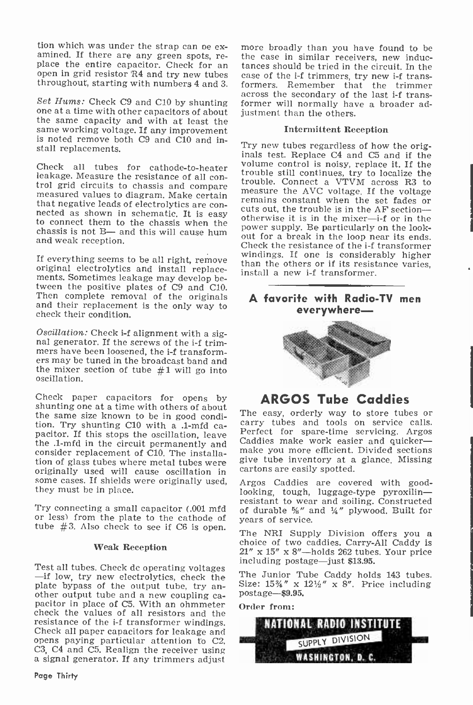tion which was under the strap can be ex-<br>amined. If there are any green spots, re-<br>the case in similar receivers, new induc-<br>place the entire capacitor. Check for an tances should be tried in the circuit. In the<br>open in

Set Hums: Check C9 and C10 by shunting one at a time with other capacitors of about the same capacity and with at least the same working voltage. If any improvement is noted remove both C9 and C10 and install replacements.

trol grid circuits to chassis and compare<br>measure the AVC voltage. If the voltage measured values to diagram. Make certain<br>measure the AVC voltage. If the voltage or<br>that negative leads of electrolytics are con-<br>nected as chassis is not B- and this will cause hum and weak reception.

If everything seems to be all right, remove original electrolytics and install replace- ments. Sometimes leakage may develop between the positive plates of C9 and C10.<br>Then complete removal of the originals and their replacement is the only way to check their condition.

Oscillation: Check i-f alignment with a sig-<br>nal generator. If the screws of the i-f trim-<br>mers have been loosened, the i-f transform-<br>ers may be tuned in the broadcast band and the mixer section of tube  $#1$  will go into oscillation.

Check paper capacitors for opens by **ARGOS Tube Caddies** shunting one at a time with others of about<br>the same size known to be in good condi. The easy, orderly way to store tubes or the same size known to be in good condition. Try shunting C10 with a .1-mfd ca-<br>pacitor. If this stops the oscillation, leave<br>the 1-mfd in the circuit permanently and Caddies make work easier and quickerthe .1-mfd in the circuit permanently and consider replacement of C10. The installation of glass tubes where metal tubes were originally used will cause oscillation in some cases. If shields were originally used, they must be in place.

Try connecting a small capacitor (.001 mfd or less) from the plate to the cathode of tube #3. Also check to see if C6 is open. The NRI Supply Division offers you a

### Weak Reception

Test all tubes. Check dc operating voltages including postage—just \$13.95.<br>-if low, try new electrolytics, check the The Junior Tube Caddy hold plate bypass of the output tube, try an- Size:  $15\frac{1}{4}$  x is other output tube and a new coupling ca- postage—\$9.95, pacitor in place of C5. With an ohmmeter order from: check the values of all resistors and the Check all paper capacitors for leakage and opens paying particular attention to C2, C3, C4 and C5. Realign the receiver using a signal generator. If any trimmers adjust

Page Thirty

throughout, starting with numbers 4 and 3. formers. Remember that the trimmer<br>across the secondary of the last i-f transmore broadly than you have found to be the case in similar receivers, new induccase of the i-f trimmers, try new i-f transformers. Remember that the trimmer former will normally have a broader adjustment than the others.

## Intermittent Reception

Check all tubes for cathode-to-heater<br>leakage Measure the resistance of all con-Try new tubes regardless of how the orig- inals test. Replace C4 and C5 and if the volume control is noisy, replace it. If the trouble. Connect a VTVM across R3 to measure the AVC voltage. If the voltage otherwise it is in the mixer-i-f or in the power supply. Be particularly on the lookout for a break in the loop near its ends. Check the resistance of the i-f transformer<br>windings. If one is considerably higher than the others or if its resistance varies, install a new i-f transformer.

# A favorite with Radio-TV men everywhere-



# ARGOS Tube Caddies

carry tubes and tools on service calls. Perfect for spare -time servicing. Argos make you more efficient. Divided sections give tube inventory at a glance, Missing cartons are easily spotted.

Argos Caddies are covered with good-<br>looking, tough, luggage-type pyroxilin—<br>resistant to wear and soiling. Constructed of durable  $\frac{1}{4}$ " and  $\frac{1}{4}$ " plywood. Built for years of service.

choice of two caddies. Carry-All Caddy is  $21''$  x  $15''$  x  $8''$ -holds  $262$  tubes. Your price

The Junior Tube Caddy holds 143 tubes. Size:  $15\frac{3}{4}$ " x  $12\frac{1}{2}$ " x 8". Price including

Order from:

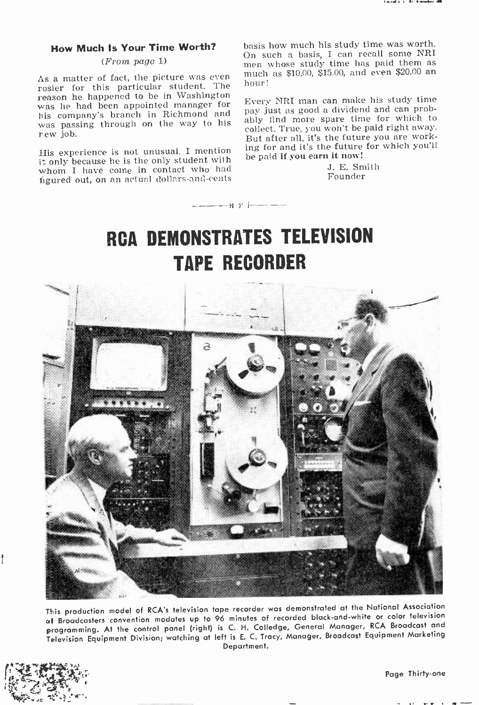# (From page 1)

As a matter of fact, the picture was even much<br>rosier for this particular student. The hour!<br>reason he happened to be in Washington was he had been appointed manager for<br>his company's branch in Richmond and was passing through on the way to his rew job.

His experience is not unusual. I mention it only because he is the only student with whom I have come in contact who had figured out, on an actual dollars -and -cents

**How Much Is Your Time Worth?** basis how much his study time was worth.<br>On such a basis, I can recall some NRI basis how much his study time was worth. men whose study time has paid them as much as \$10.00, \$15.00, and even \$20.00 an

> Every NRI man can make his study time pay just as good a dividend and can probably find more spare time for which to collect. True, you won't be paid right away. But after all, it's the future you are working for and it's the future for which you'll be paid if you earn it now!

> > J. E. Smith Founder

# RCA DEMONSTRATES TELEVISION TAPE RECORDER

 $--- n r i--- -$ 



This production model of RCA's television tape recorder was demonstrated at the National Association al Broadcasters convention modates up to 96 minutes of recorded black -and -white or color television programming. At the control panel (right) is C. H. Colledge, General Manager, RCA Broadcast and Television Equipment Division; watching at left is E. C. Tracy, Manager, Broadcast Equipment Marketing Department.



ł

Page Thirty-one